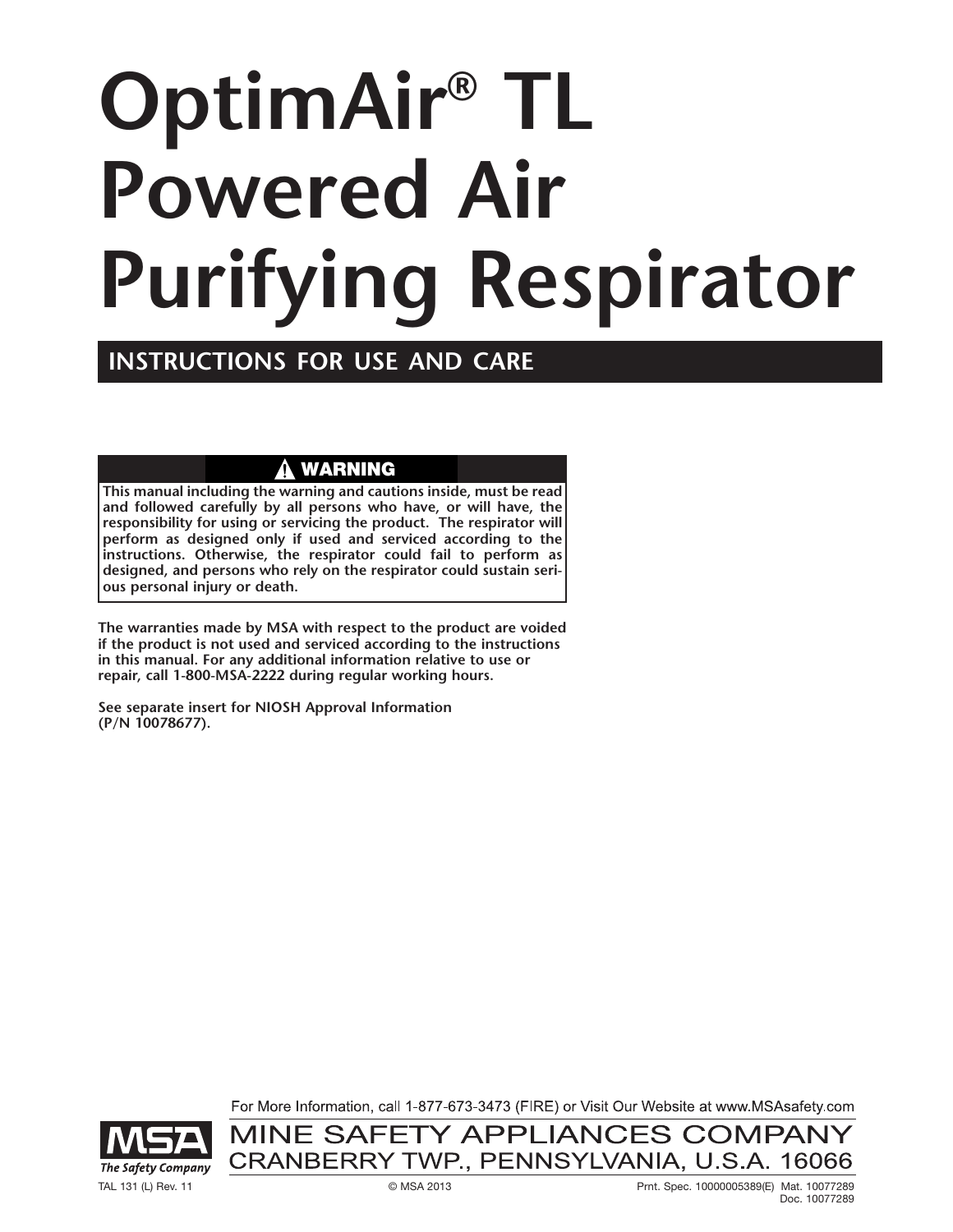# **OptimAir® TL Powered Air Purifying Respirator**

## **INSTRUCTIONS FOR USE AND CARE**

## **WARNING**

**This manual including the warning and cautions inside, must be read and followed carefully by all persons who have, or will have, the responsibility for using or servicing the product. The respirator will perform as designed only if used and serviced according to the instructions. Otherwise, the respirator could fail to perform as designed, and persons who rely on the respirator could sustain serious personal injury or death.**

**The warranties made by MSA with respect to the product are voided if the product is not used and serviced according to the instructions in this manual. For any additional information relative to use or repair, call 1-800-MSA-2222 during regular working hours.**

**See separate insert for NIOSH Approval Information (P/N 10078677).**

> For More Information, call 1-877-673-3473 (FIRE) or Visit Our Website at www.MSAsafety.com MINE SAFETY APPLIANCES COMPANY

> CRANBERRY TWP., PENNSYLVANIA, U.S.A. 16066

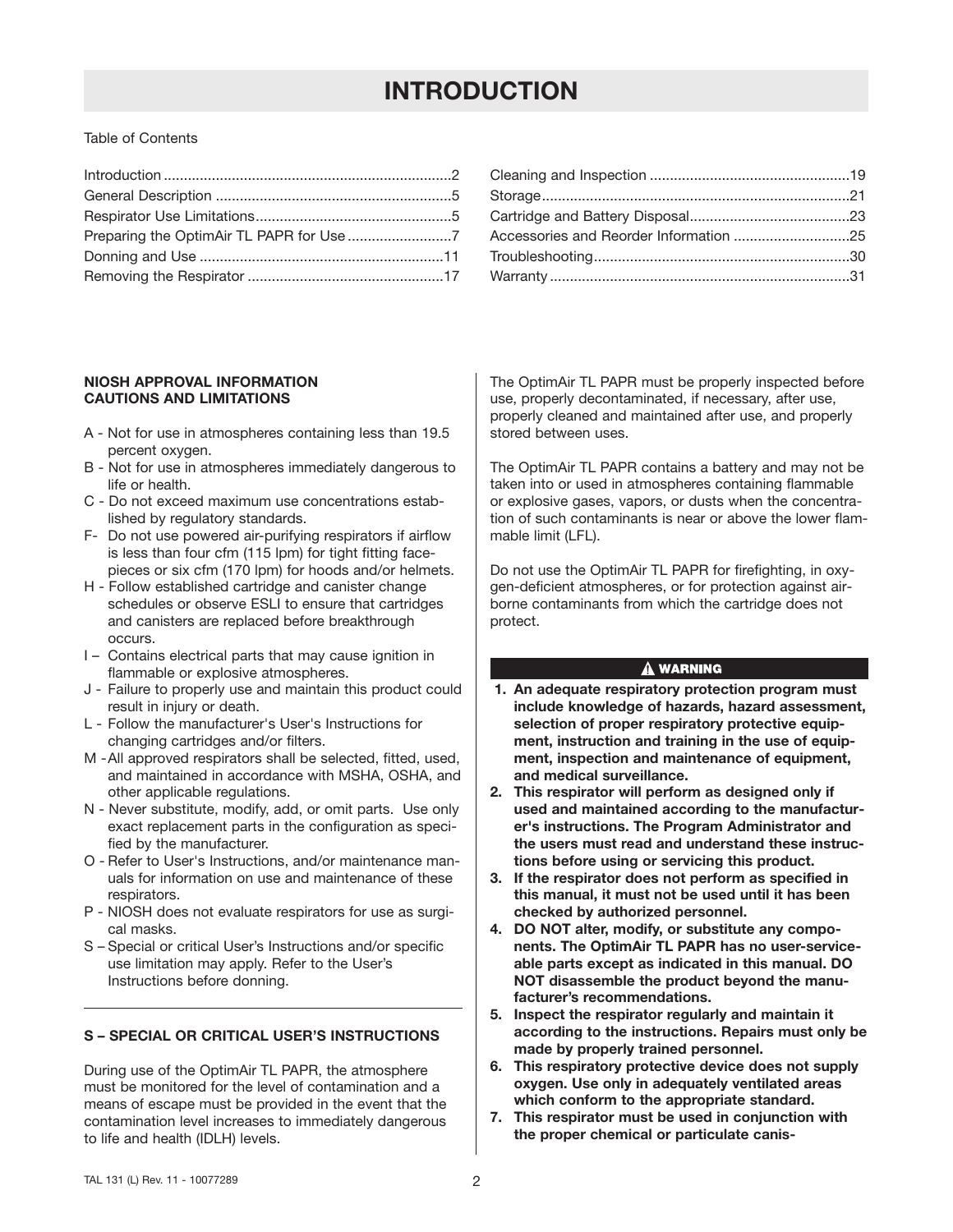## **INTRODUCTION**

#### Table of Contents

#### **NIOSH APPROVAL INFORMATION CAUTIONS AND LIMITATIONS**

- A Not for use in atmospheres containing less than 19.5 percent oxygen.
- B Not for use in atmospheres immediately dangerous to life or health.
- C Do not exceed maximum use concentrations established by regulatory standards.
- F- Do not use powered air-purifying respirators if airflow is less than four cfm (115 lpm) for tight fitting facepieces or six cfm (170 lpm) for hoods and/or helmets.
- H Follow established cartridge and canister change schedules or observe ESLI to ensure that cartridges and canisters are replaced before breakthrough occurs.
- I Contains electrical parts that may cause ignition in flammable or explosive atmospheres.
- J Failure to properly use and maintain this product could result in injury or death.
- L Follow the manufacturer's User's Instructions for changing cartridges and/or filters.
- M -All approved respirators shall be selected, fitted, used, and maintained in accordance with MSHA, OSHA, and other applicable regulations.
- N Never substitute, modify, add, or omit parts. Use only exact replacement parts in the configuration as specified by the manufacturer.
- O Refer to User's Instructions, and/or maintenance manuals for information on use and maintenance of these respirators.
- P NIOSH does not evaluate respirators for use as surgical masks.
- S Special or critical User's Instructions and/or specific use limitation may apply. Refer to the User's Instructions before donning.

#### **S – SPECIAL OR CRITICAL USER'S INSTRUCTIONS**

During use of the OptimAir TL PAPR, the atmosphere must be monitored for the level of contamination and a means of escape must be provided in the event that the contamination level increases to immediately dangerous to life and health (IDLH) levels.

The OptimAir TL PAPR must be properly inspected before use, properly decontaminated, if necessary, after use, properly cleaned and maintained after use, and properly stored between uses.

The OptimAir TL PAPR contains a battery and may not be taken into or used in atmospheres containing flammable or explosive gases, vapors, or dusts when the concentration of such contaminants is near or above the lower flammable limit (LFL).

Do not use the OptimAir TL PAPR for firefighting, in oxygen-deficient atmospheres, or for protection against airborne contaminants from which the cartridge does not protect.

#### A WARNING

- **1. An adequate respiratory protection program must include knowledge of hazards, hazard assessment, selection of proper respiratory protective equipment, instruction and training in the use of equipment, inspection and maintenance of equipment, and medical surveillance.**
- **2. This respirator will perform as designed only if used and maintained according to the manufacturer's instructions. The Program Administrator and the users must read and understand these instructions before using or servicing this product.**
- **3. If the respirator does not perform as specified in this manual, it must not be used until it has been checked by authorized personnel.**
- **4. DO NOT alter, modify, or substitute any components. The OptimAir TL PAPR has no user-serviceable parts except as indicated in this manual. DO NOT disassemble the product beyond the manufacturer's recommendations.**
- **5. Inspect the respirator regularly and maintain it according to the instructions. Repairs must only be made by properly trained personnel.**
- **6. This respiratory protective device does not supply oxygen. Use only in adequately ventilated areas which conform to the appropriate standard.**
- **7. This respirator must be used in conjunction with the proper chemical or particulate canis-**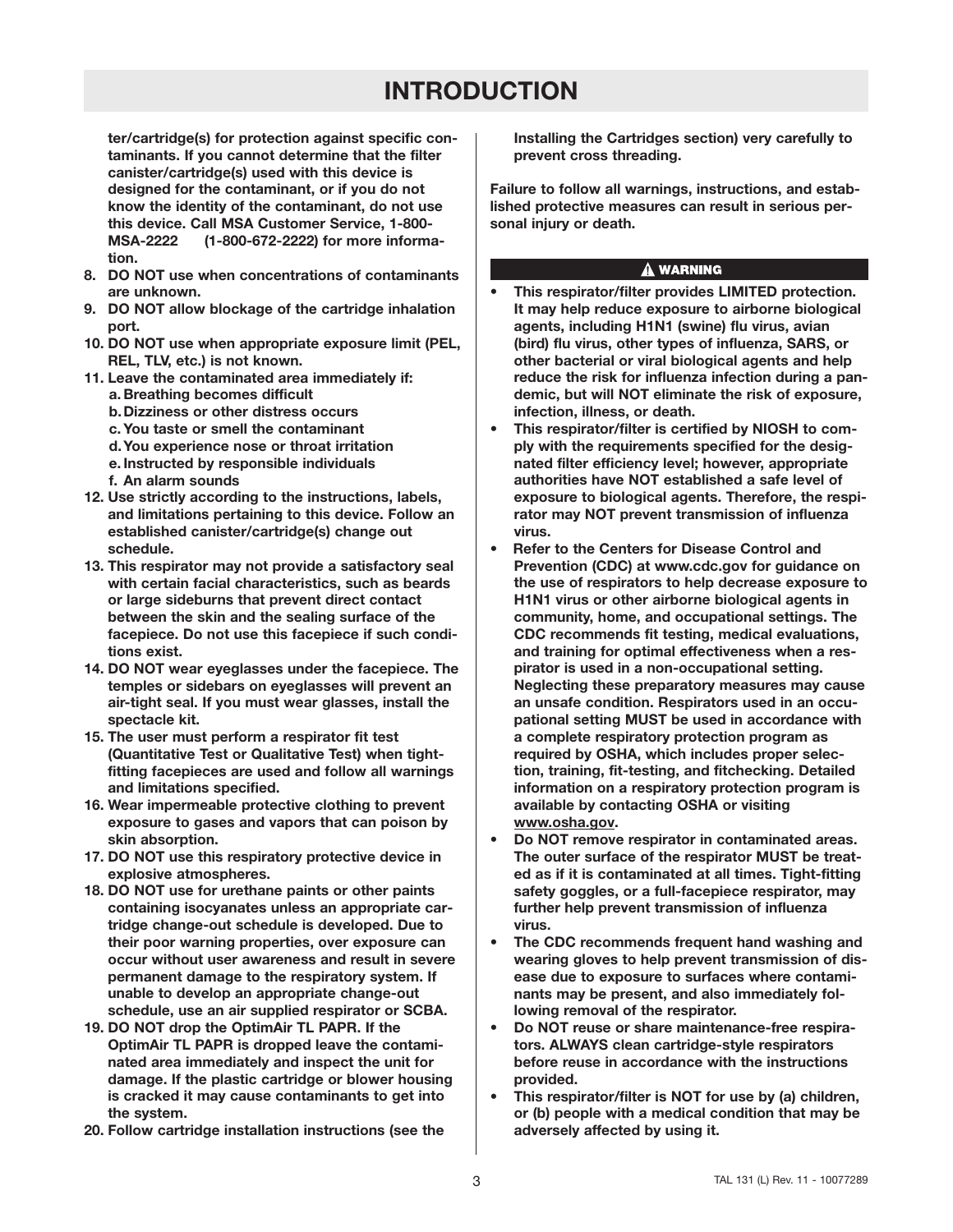## **INTRODUCTION**

**ter/cartridge(s) for protection against specific contaminants. If you cannot determine that the filter canister/cartridge(s) used with this device is designed for the contaminant, or if you do not know the identity of the contaminant, do not use this device. Call MSA Customer Service, 1-800- MSA-2222 (1-800-672-2222) for more information.**

- **8. DO NOT use when concentrations of contaminants are unknown.**
- **9. DO NOT allow blockage of the cartridge inhalation port.**
- **10. DO NOT use when appropriate exposure limit (PEL, REL, TLV, etc.) is not known.**
- **11. Leave the contaminated area immediately if: a. Breathing becomes difficult b.Dizziness or other distress occurs c. You taste or smell the contaminant d.You experience nose or throat irritation e. Instructed by responsible individuals**
	- **f. An alarm sounds**
- **12. Use strictly according to the instructions, labels, and limitations pertaining to this device. Follow an established canister/cartridge(s) change out schedule.**
- **13. This respirator may not provide a satisfactory seal with certain facial characteristics, such as beards or large sideburns that prevent direct contact between the skin and the sealing surface of the facepiece. Do not use this facepiece if such conditions exist.**
- **14. DO NOT wear eyeglasses under the facepiece. The temples or sidebars on eyeglasses will prevent an air-tight seal. If you must wear glasses, install the spectacle kit.**
- **15. The user must perform a respirator fit test (Quantitative Test or Qualitative Test) when tightfitting facepieces are used and follow all warnings and limitations specified.**
- **16. Wear impermeable protective clothing to prevent exposure to gases and vapors that can poison by skin absorption.**
- **17. DO NOT use this respiratory protective device in explosive atmospheres.**
- **18. DO NOT use for urethane paints or other paints containing isocyanates unless an appropriate cartridge change-out schedule is developed. Due to their poor warning properties, over exposure can occur without user awareness and result in severe permanent damage to the respiratory system. If unable to develop an appropriate change-out schedule, use an air supplied respirator or SCBA.**
- **19. DO NOT drop the OptimAir TL PAPR. If the OptimAir TL PAPR is dropped leave the contaminated area immediately and inspect the unit for damage. If the plastic cartridge or blower housing is cracked it may cause contaminants to get into the system.**
- **20. Follow cartridge installation instructions (see the**

**Installing the Cartridges section) very carefully to prevent cross threading.**

**Failure to follow all warnings, instructions, and established protective measures can result in serious personal injury or death.**

#### A WARNING

- **This respirator/filter provides LIMITED protection. It may help reduce exposure to airborne biological agents, including H1N1 (swine) flu virus, avian (bird) flu virus, other types of influenza, SARS, or other bacterial or viral biological agents and help reduce the risk for influenza infection during a pandemic, but will NOT eliminate the risk of exposure, infection, illness, or death.**
- **This respirator/filter is certified by NIOSH to comply with the requirements specified for the designated filter efficiency level; however, appropriate authorities have NOT established a safe level of exposure to biological agents. Therefore, the respirator may NOT prevent transmission of influenza virus.**
- **Refer to the Centers for Disease Control and Prevention (CDC) at www.cdc.gov for guidance on the use of respirators to help decrease exposure to H1N1 virus or other airborne biological agents in community, home, and occupational settings. The CDC recommends fit testing, medical evaluations, and training for optimal effectiveness when a respirator is used in a non-occupational setting. Neglecting these preparatory measures may cause an unsafe condition. Respirators used in an occupational setting MUST be used in accordance with a complete respiratory protection program as required by OSHA, which includes proper selection, training, fit-testing, and fitchecking. Detailed information on a respiratory protection program is available by contacting OSHA or visiting www.osha.gov.**
- **Do NOT remove respirator in contaminated areas. The outer surface of the respirator MUST be treated as if it is contaminated at all times. Tight-fitting safety goggles, or a full-facepiece respirator, may further help prevent transmission of influenza virus.**
- **The CDC recommends frequent hand washing and wearing gloves to help prevent transmission of disease due to exposure to surfaces where contaminants may be present, and also immediately following removal of the respirator.**
- **Do NOT reuse or share maintenance-free respirators. ALWAYS clean cartridge-style respirators before reuse in accordance with the instructions provided.**
- **This respirator/filter is NOT for use by (a) children, or (b) people with a medical condition that may be adversely affected by using it.**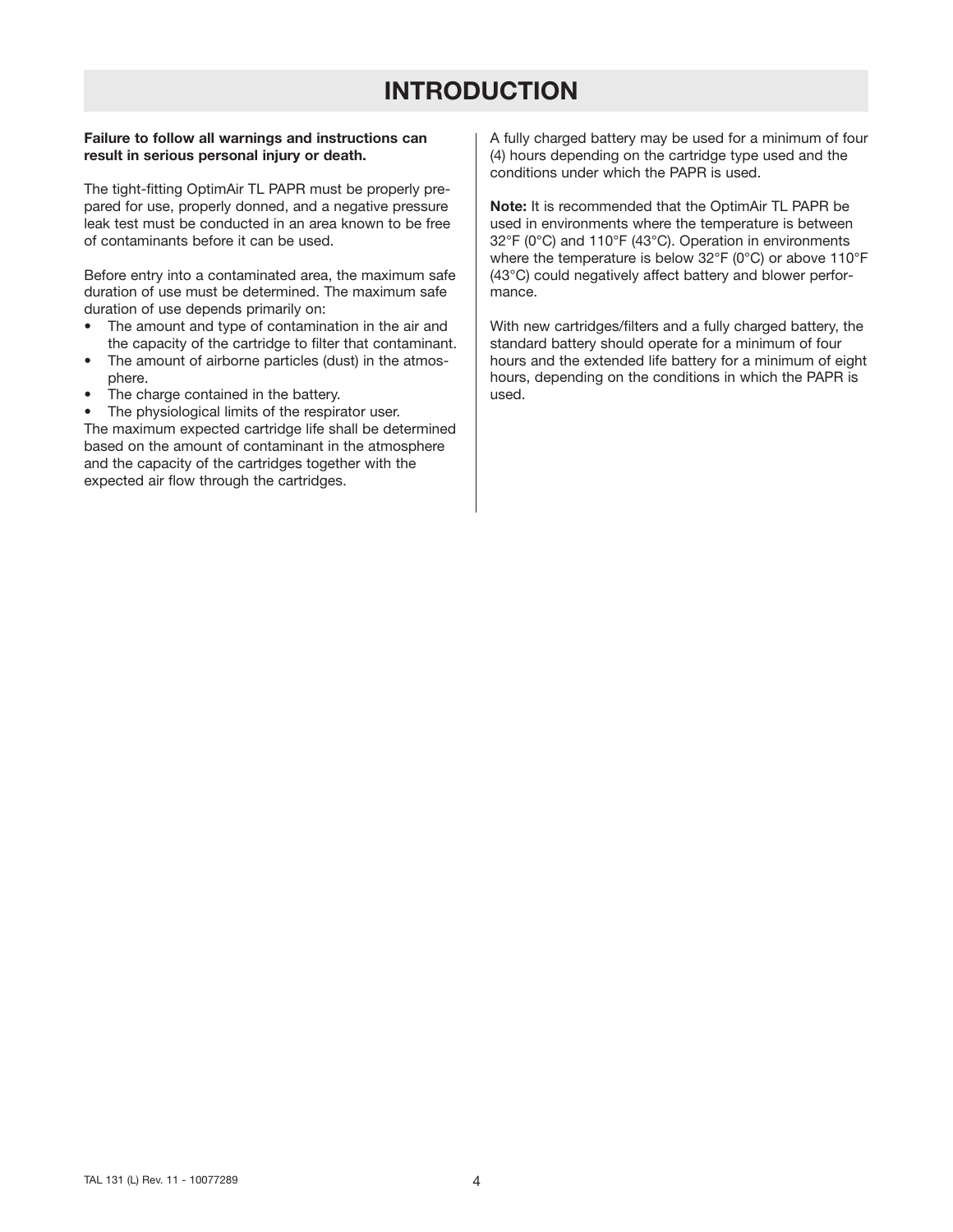## **INTRODUCTION**

#### **Failure to follow all warnings and instructions can result in serious personal injury or death.**

The tight-fitting OptimAir TL PAPR must be properly prepared for use, properly donned, and a negative pressure leak test must be conducted in an area known to be free of contaminants before it can be used.

Before entry into a contaminated area, the maximum safe duration of use must be determined. The maximum safe duration of use depends primarily on:

- The amount and type of contamination in the air and the capacity of the cartridge to filter that contaminant.
- The amount of airborne particles (dust) in the atmosphere.
- The charge contained in the battery.
- The physiological limits of the respirator user.

The maximum expected cartridge life shall be determined based on the amount of contaminant in the atmosphere and the capacity of the cartridges together with the expected air flow through the cartridges.

A fully charged battery may be used for a minimum of four (4) hours depending on the cartridge type used and the conditions under which the PAPR is used.

**Note:** It is recommended that the OptimAir TL PAPR be used in environments where the temperature is between 32°F (0°C) and 110°F (43°C). Operation in environments where the temperature is below 32°F (0°C) or above 110°F (43°C) could negatively affect battery and blower performance.

With new cartridges/filters and a fully charged battery, the standard battery should operate for a minimum of four hours and the extended life battery for a minimum of eight hours, depending on the conditions in which the PAPR is used.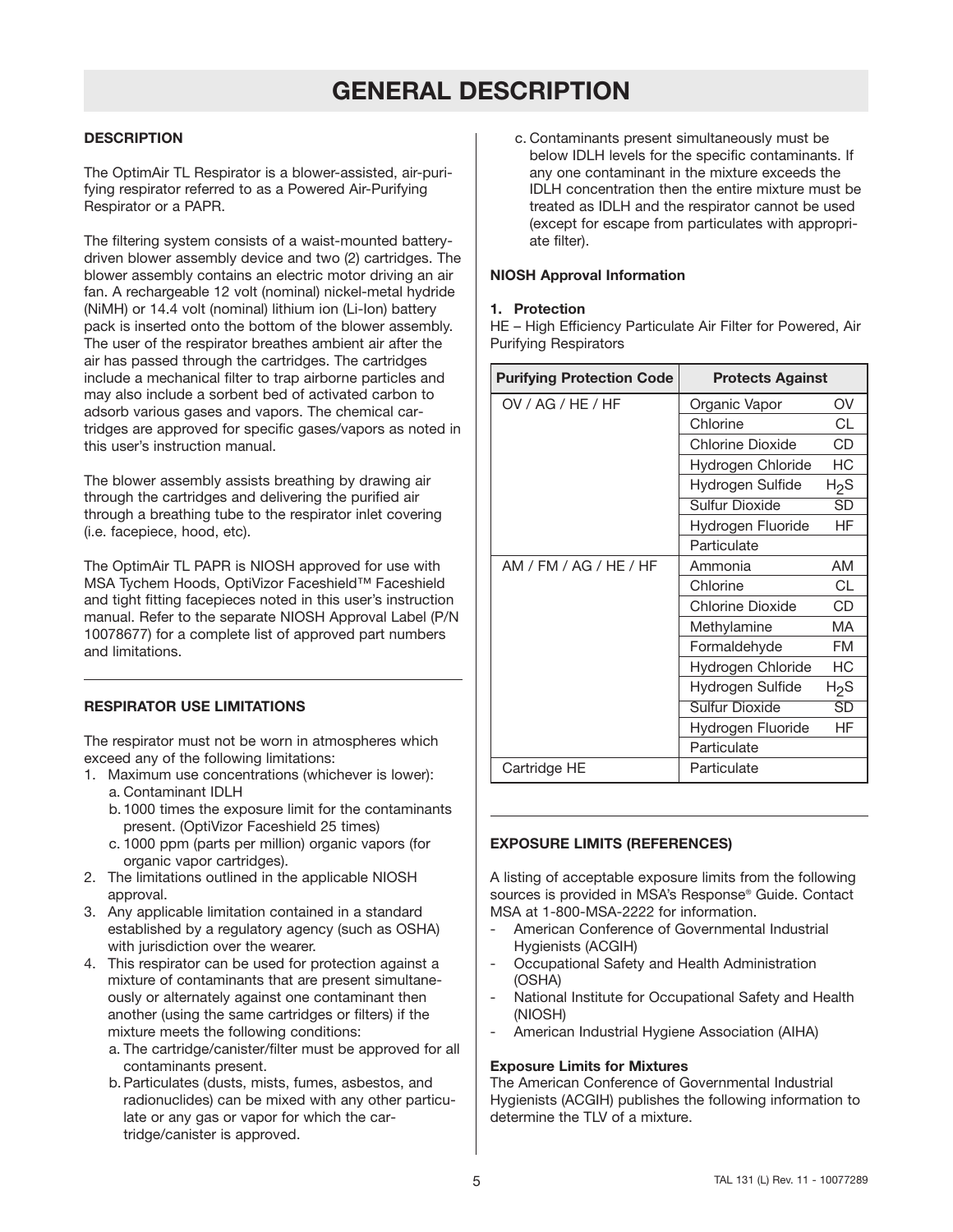## **GENERAL DESCRIPTION**

#### **DESCRIPTION**

The OptimAir TL Respirator is a blower-assisted, air-purifying respirator referred to as a Powered Air-Purifying Respirator or a PAPR.

The filtering system consists of a waist-mounted batterydriven blower assembly device and two (2) cartridges. The blower assembly contains an electric motor driving an air fan. A rechargeable 12 volt (nominal) nickel-metal hydride (NiMH) or 14.4 volt (nominal) lithium ion (Li-Ion) battery pack is inserted onto the bottom of the blower assembly. The user of the respirator breathes ambient air after the air has passed through the cartridges. The cartridges include a mechanical filter to trap airborne particles and may also include a sorbent bed of activated carbon to adsorb various gases and vapors. The chemical cartridges are approved for specific gases/vapors as noted in this user's instruction manual.

The blower assembly assists breathing by drawing air through the cartridges and delivering the purified air through a breathing tube to the respirator inlet covering (i.e. facepiece, hood, etc).

The OptimAir TL PAPR is NIOSH approved for use with MSA Tychem Hoods, OptiVizor Faceshield™ Faceshield and tight fitting facepieces noted in this user's instruction manual. Refer to the separate NIOSH Approval Label (P/N 10078677) for a complete list of approved part numbers and limitations.

#### **RESPIRATOR USE LIMITATIONS**

The respirator must not be worn in atmospheres which exceed any of the following limitations:

- 1. Maximum use concentrations (whichever is lower): a. Contaminant IDLH
	- b.1000 times the exposure limit for the contaminants present. (OptiVizor Faceshield 25 times)
	- c. 1000 ppm (parts per million) organic vapors (for organic vapor cartridges).
- 2. The limitations outlined in the applicable NIOSH approval.
- 3. Any applicable limitation contained in a standard established by a regulatory agency (such as OSHA) with jurisdiction over the wearer.
- 4. This respirator can be used for protection against a mixture of contaminants that are present simultaneously or alternately against one contaminant then another (using the same cartridges or filters) if the mixture meets the following conditions:
	- a. The cartridge/canister/filter must be approved for all contaminants present.
	- b.Particulates (dusts, mists, fumes, asbestos, and radionuclides) can be mixed with any other particulate or any gas or vapor for which the cartridge/canister is approved.

c. Contaminants present simultaneously must be below IDLH levels for the specific contaminants. If any one contaminant in the mixture exceeds the IDLH concentration then the entire mixture must be treated as IDLH and the respirator cannot be used (except for escape from particulates with appropriate filter).

#### **NIOSH Approval Information**

#### **1. Protection**

HE – High Efficiency Particulate Air Filter for Powered, Air Purifying Respirators

| <b>Purifying Protection Code</b> | <b>Protects Against</b> |                        |  |
|----------------------------------|-------------------------|------------------------|--|
| OV / AG / HE / HF                | Organic Vapor<br>OV     |                        |  |
|                                  | Chlorine                | CL                     |  |
|                                  | Chlorine Dioxide        | CD                     |  |
|                                  | Hydrogen Chloride       | НC                     |  |
|                                  | Hydrogen Sulfide        | H2S                    |  |
|                                  | <b>Sulfur Dioxide</b>   | $\overline{\text{SD}}$ |  |
|                                  | Hydrogen Fluoride       | ΗF                     |  |
|                                  | Particulate             |                        |  |
| AM / FM / AG / HE / HF           | AM<br>Ammonia           |                        |  |
|                                  | Chlorine                | CL                     |  |
|                                  | Chlorine Dioxide        | CD                     |  |
|                                  | Methylamine             | MA                     |  |
|                                  | Formaldehyde            | FM                     |  |
|                                  | Hydrogen Chloride       | НC                     |  |
|                                  | Hydrogen Sulfide        | H2S                    |  |
|                                  | <b>Sulfur Dioxide</b>   | $\overline{\text{SD}}$ |  |
|                                  | Hydrogen Fluoride       | HF                     |  |
|                                  | Particulate             |                        |  |
| Cartridge HE                     | Particulate             |                        |  |

#### **EXPOSURE LIMITS (REFERENCES)**

A listing of acceptable exposure limits from the following sources is provided in MSA's Response® Guide. Contact MSA at 1-800-MSA-2222 for information.

- American Conference of Governmental Industrial Hygienists (ACGIH)
- Occupational Safety and Health Administration (OSHA)
- National Institute for Occupational Safety and Health (NIOSH)
- American Industrial Hygiene Association (AIHA)

#### **Exposure Limits for Mixtures**

The American Conference of Governmental Industrial Hygienists (ACGIH) publishes the following information to determine the TLV of a mixture.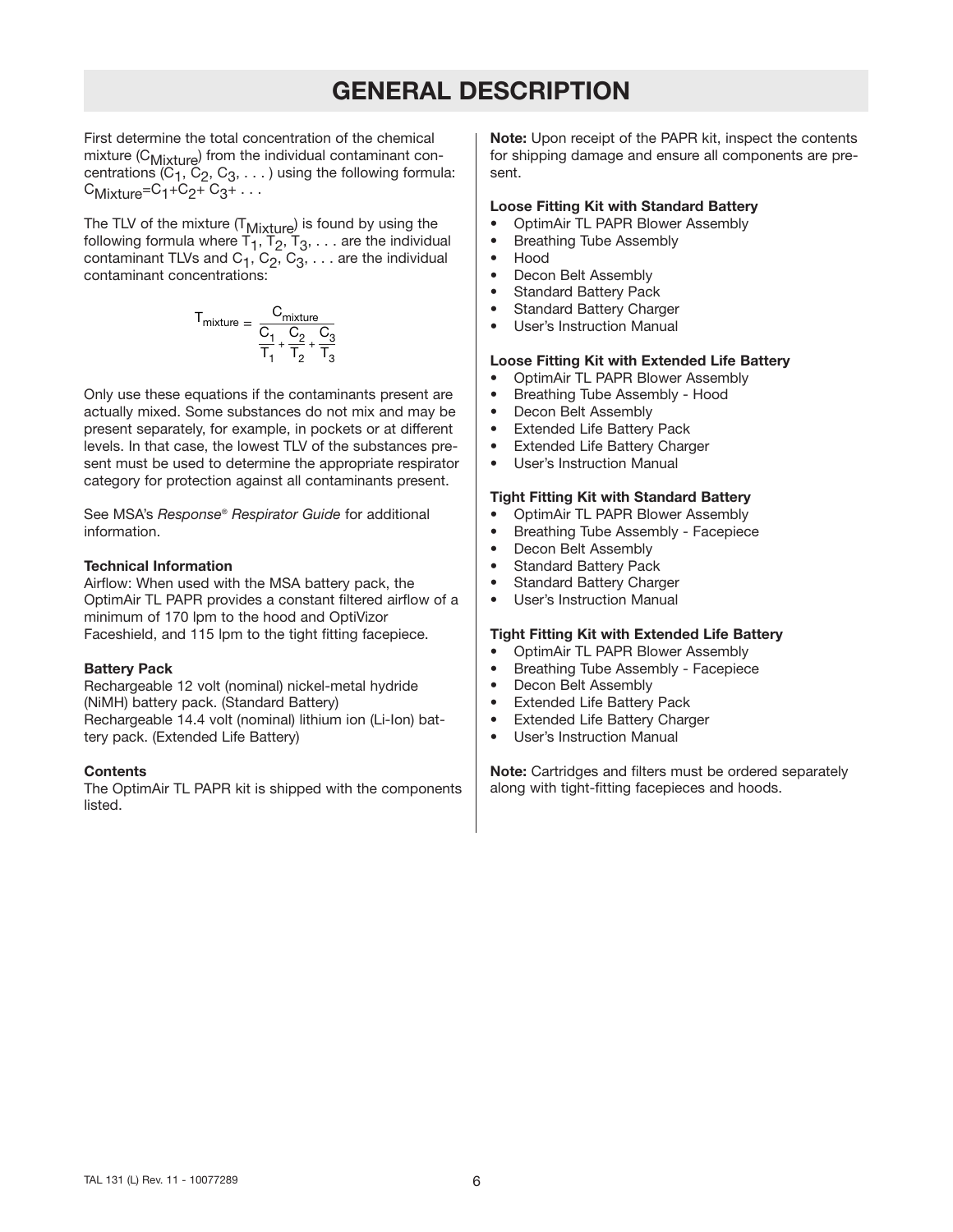## **GENERAL DESCRIPTION**

First determine the total concentration of the chemical mixture (C<sub>Mixture</sub>) from the individual contaminant concentrations  $(C_1, C_2, C_3, \ldots)$  using the following formula:  $C_{Mixture} = C_1 + C_2 + C_3 + \ldots$ 

The TLV of the mixture  $(T_{Mixture})$  is found by using the following formula where  $T_1$ ,  $T_2$ ,  $T_3$ , ... are the individual contaminant TLVs and  $C_1$ ,  $C_2$ ,  $C_3$ ,  $\dots$  are the individual contaminant concentrations:

$$
T_{mixture} = \dfrac{C_{mixture}}{\dfrac{C_1}{T_1}+\dfrac{C_2}{T_2}+\dfrac{C_3}{T_3}}
$$

Only use these equations if the contaminants present are actually mixed. Some substances do not mix and may be present separately, for example, in pockets or at different levels. In that case, the lowest TLV of the substances present must be used to determine the appropriate respirator category for protection against all contaminants present.

See MSA's *Response® Respirator Guide* for additional information.

#### **Technical Information**

Airflow: When used with the MSA battery pack, the OptimAir TL PAPR provides a constant filtered airflow of a minimum of 170 lpm to the hood and OptiVizor Faceshield, and 115 lpm to the tight fitting facepiece.

#### **Battery Pack**

Rechargeable 12 volt (nominal) nickel-metal hydride (NiMH) battery pack. (Standard Battery) Rechargeable 14.4 volt (nominal) lithium ion (Li-Ion) battery pack. (Extended Life Battery)

#### **Contents**

The OptimAir TL PAPR kit is shipped with the components listed.

**Note:** Upon receipt of the PAPR kit, inspect the contents for shipping damage and ensure all components are present.

#### **Loose Fitting Kit with Standard Battery**

- OptimAir TL PAPR Blower Assembly
- Breathing Tube Assembly
- Hood
- Decon Belt Assembly
- **Standard Battery Pack**
- Standard Battery Charger
- User's Instruction Manual

#### **Loose Fitting Kit with Extended Life Battery**

- OptimAir TL PAPR Blower Assembly
- Breathing Tube Assembly Hood
- Decon Belt Assembly
- **Extended Life Battery Pack**
- **Extended Life Battery Charger**
- User's Instruction Manual

#### **Tight Fitting Kit with Standard Battery**

- OptimAir TL PAPR Blower Assembly
- Breathing Tube Assembly Facepiece
- Decon Belt Assembly
- Standard Battery Pack
- Standard Battery Charger
- User's Instruction Manual

#### **Tight Fitting Kit with Extended Life Battery**

- OptimAir TL PAPR Blower Assembly
- Breathing Tube Assembly Facepiece
- Decon Belt Assembly
- **Extended Life Battery Pack**
- **Extended Life Battery Charger**
- User's Instruction Manual

**Note:** Cartridges and filters must be ordered separately along with tight-fitting facepieces and hoods.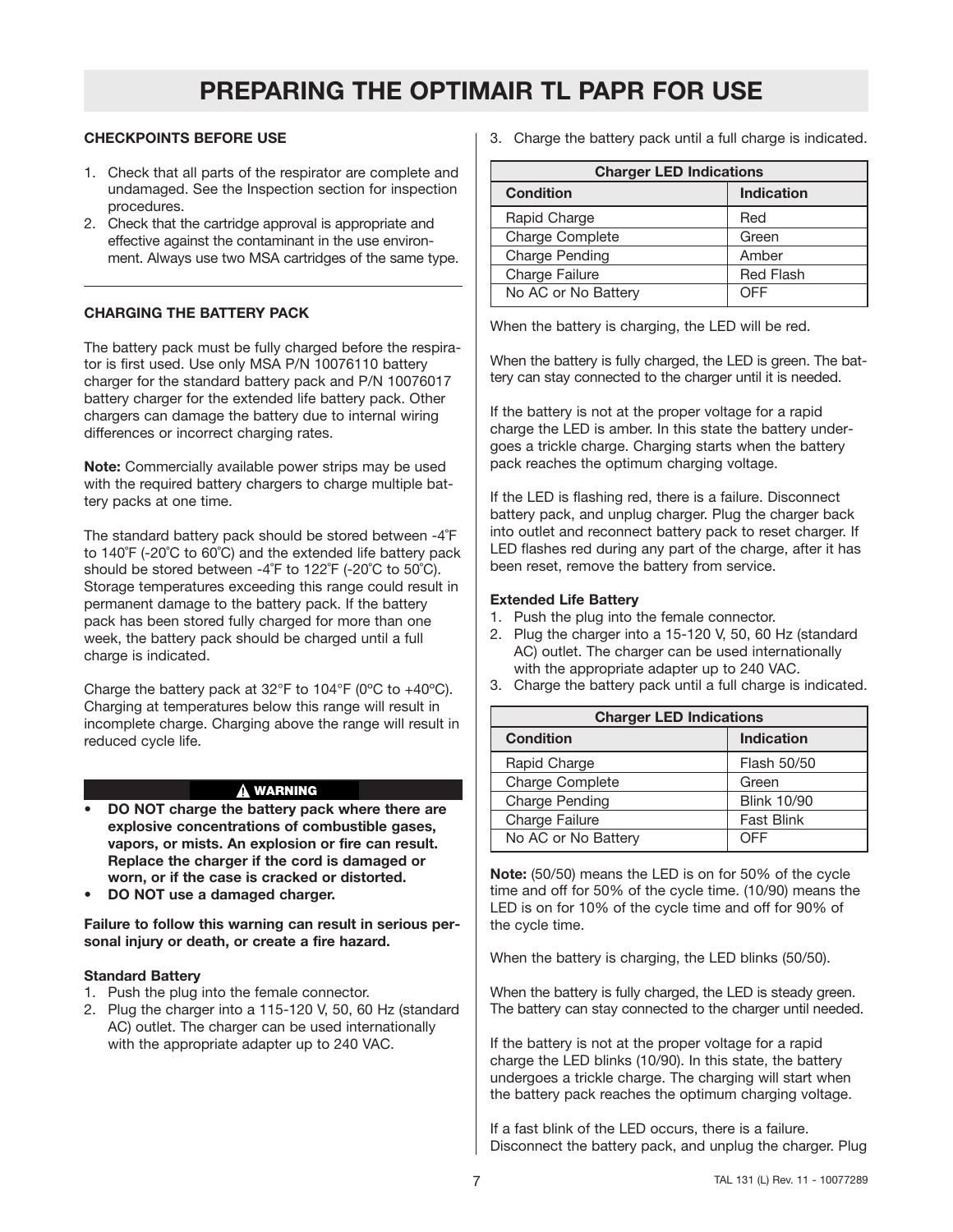#### **CHECKPOINTS BEFORE USE**

- 1. Check that all parts of the respirator are complete and undamaged. See the Inspection section for inspection procedures.
- 2. Check that the cartridge approval is appropriate and effective against the contaminant in the use environment. Always use two MSA cartridges of the same type.

#### **CHARGING THE BATTERY PACK**

The battery pack must be fully charged before the respirator is first used. Use only MSA P/N 10076110 battery charger for the standard battery pack and P/N 10076017 battery charger for the extended life battery pack. Other chargers can damage the battery due to internal wiring differences or incorrect charging rates.

**Note:** Commercially available power strips may be used with the required battery chargers to charge multiple battery packs at one time.

The standard battery pack should be stored between -4˚F to 140˚F (-20˚C to 60˚C) and the extended life battery pack should be stored between -4˚F to 122˚F (-20˚C to 50˚C). Storage temperatures exceeding this range could result in permanent damage to the battery pack. If the battery pack has been stored fully charged for more than one week, the battery pack should be charged until a full charge is indicated.

Charge the battery pack at 32°F to 104°F (0ºC to +40ºC). Charging at temperatures below this range will result in incomplete charge. Charging above the range will result in reduced cycle life.

#### **WARNING**

- **DO NOT charge the battery pack where there are explosive concentrations of combustible gases, vapors, or mists. An explosion or fire can result. Replace the charger if the cord is damaged or worn, or if the case is cracked or distorted.**
- **DO NOT use a damaged charger.**

**Failure to follow this warning can result in serious personal injury or death, or create a fire hazard.**

#### **Standard Battery**

- 1. Push the plug into the female connector.
- 2. Plug the charger into a 115-120 V, 50, 60 Hz (standard AC) outlet. The charger can be used internationally with the appropriate adapter up to 240 VAC.

3. Charge the battery pack until a full charge is indicated.

| <b>Charger LED Indications</b> |                   |  |  |
|--------------------------------|-------------------|--|--|
| <b>Condition</b>               | <b>Indication</b> |  |  |
| Rapid Charge                   | Red               |  |  |
| Charge Complete                | Green             |  |  |
| Charge Pending                 | Amber             |  |  |
| Charge Failure                 | <b>Red Flash</b>  |  |  |
| No AC or No Battery            | OFF               |  |  |

When the battery is charging, the LED will be red.

When the battery is fully charged, the LED is green. The battery can stay connected to the charger until it is needed.

If the battery is not at the proper voltage for a rapid charge the LED is amber. In this state the battery undergoes a trickle charge. Charging starts when the battery pack reaches the optimum charging voltage.

If the LED is flashing red, there is a failure. Disconnect battery pack, and unplug charger. Plug the charger back into outlet and reconnect battery pack to reset charger. If LED flashes red during any part of the charge, after it has been reset, remove the battery from service.

#### **Extended Life Battery**

- 1. Push the plug into the female connector.
- 2. Plug the charger into a 15-120 V, 50, 60 Hz (standard AC) outlet. The charger can be used internationally with the appropriate adapter up to 240 VAC.
- 3. Charge the battery pack until a full charge is indicated.

| <b>Charger LED Indications</b> |                    |  |  |
|--------------------------------|--------------------|--|--|
| <b>Condition</b>               | <b>Indication</b>  |  |  |
| Rapid Charge                   | Flash 50/50        |  |  |
| Charge Complete                | Green              |  |  |
| <b>Charge Pending</b>          | <b>Blink 10/90</b> |  |  |
| Charge Failure                 | <b>Fast Blink</b>  |  |  |
| No AC or No Battery            | OFF                |  |  |

**Note:** (50/50) means the LED is on for 50% of the cycle time and off for 50% of the cycle time. (10/90) means the LED is on for 10% of the cycle time and off for 90% of the cycle time.

When the battery is charging, the LED blinks (50/50).

When the battery is fully charged, the LED is steady green. The battery can stay connected to the charger until needed.

If the battery is not at the proper voltage for a rapid charge the LED blinks (10/90). In this state, the battery undergoes a trickle charge. The charging will start when the battery pack reaches the optimum charging voltage.

If a fast blink of the LED occurs, there is a failure. Disconnect the battery pack, and unplug the charger. Plug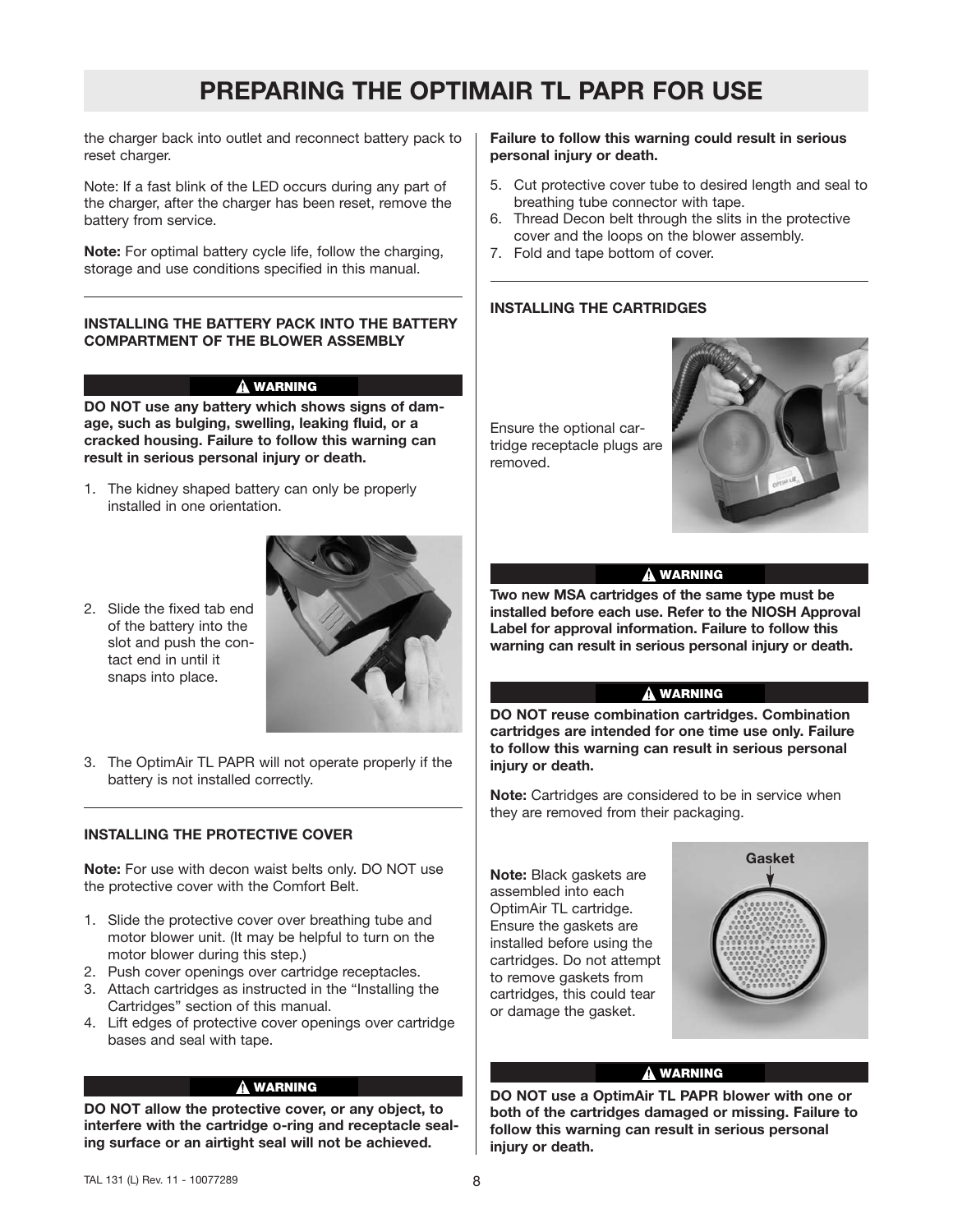the charger back into outlet and reconnect battery pack to reset charger.

Note: If a fast blink of the LED occurs during any part of the charger, after the charger has been reset, remove the battery from service.

**Note:** For optimal battery cycle life, follow the charging, storage and use conditions specified in this manual.

#### **INSTALLING THE BATTERY PACK INTO THE BATTERY COMPARTMENT OF THE BLOWER ASSEMBLY**

#### **WARNING**

**DO NOT use any battery which shows signs of damage, such as bulging, swelling, leaking fluid, or a cracked housing. Failure to follow this warning can result in serious personal injury or death.**

- 1. The kidney shaped battery can only be properly installed in one orientation.
- 2. Slide the fixed tab end of the battery into the slot and push the contact end in until it snaps into place.



3. The OptimAir TL PAPR will not operate properly if the battery is not installed correctly.

#### **INSTALLING THE PROTECTIVE COVER**

**Note:** For use with decon waist belts only. DO NOT use the protective cover with the Comfort Belt.

- 1. Slide the protective cover over breathing tube and motor blower unit. (It may be helpful to turn on the motor blower during this step.)
- 2. Push cover openings over cartridge receptacles.
- 3. Attach cartridges as instructed in the "Installing the Cartridges" section of this manual.
- 4. Lift edges of protective cover openings over cartridge bases and seal with tape.

#### **WARNING**

**DO NOT allow the protective cover, or any object, to interfere with the cartridge o-ring and receptacle sealing surface or an airtight seal will not be achieved.**

#### **Failure to follow this warning could result in serious personal injury or death.**

- 5. Cut protective cover tube to desired length and seal to breathing tube connector with tape.
- 6. Thread Decon belt through the slits in the protective cover and the loops on the blower assembly.
- 7. Fold and tape bottom of cover.

#### **INSTALLING THE CARTRIDGES**

Ensure the optional cartridge receptacle plugs are removed.



#### **WARNING**

**Two new MSA cartridges of the same type must be installed before each use. Refer to the NIOSH Approval Label for approval information. Failure to follow this warning can result in serious personal injury or death.**

#### **WARNING**

**DO NOT reuse combination cartridges. Combination cartridges are intended for one time use only. Failure to follow this warning can result in serious personal injury or death.**

**Note:** Cartridges are considered to be in service when they are removed from their packaging.

**Note:** Black gaskets are assembled into each OptimAir TL cartridge. Ensure the gaskets are installed before using the cartridges. Do not attempt to remove gaskets from cartridges, this could tear or damage the gasket.



#### **WARNING**

**DO NOT use a OptimAir TL PAPR blower with one or both of the cartridges damaged or missing. Failure to follow this warning can result in serious personal injury or death.**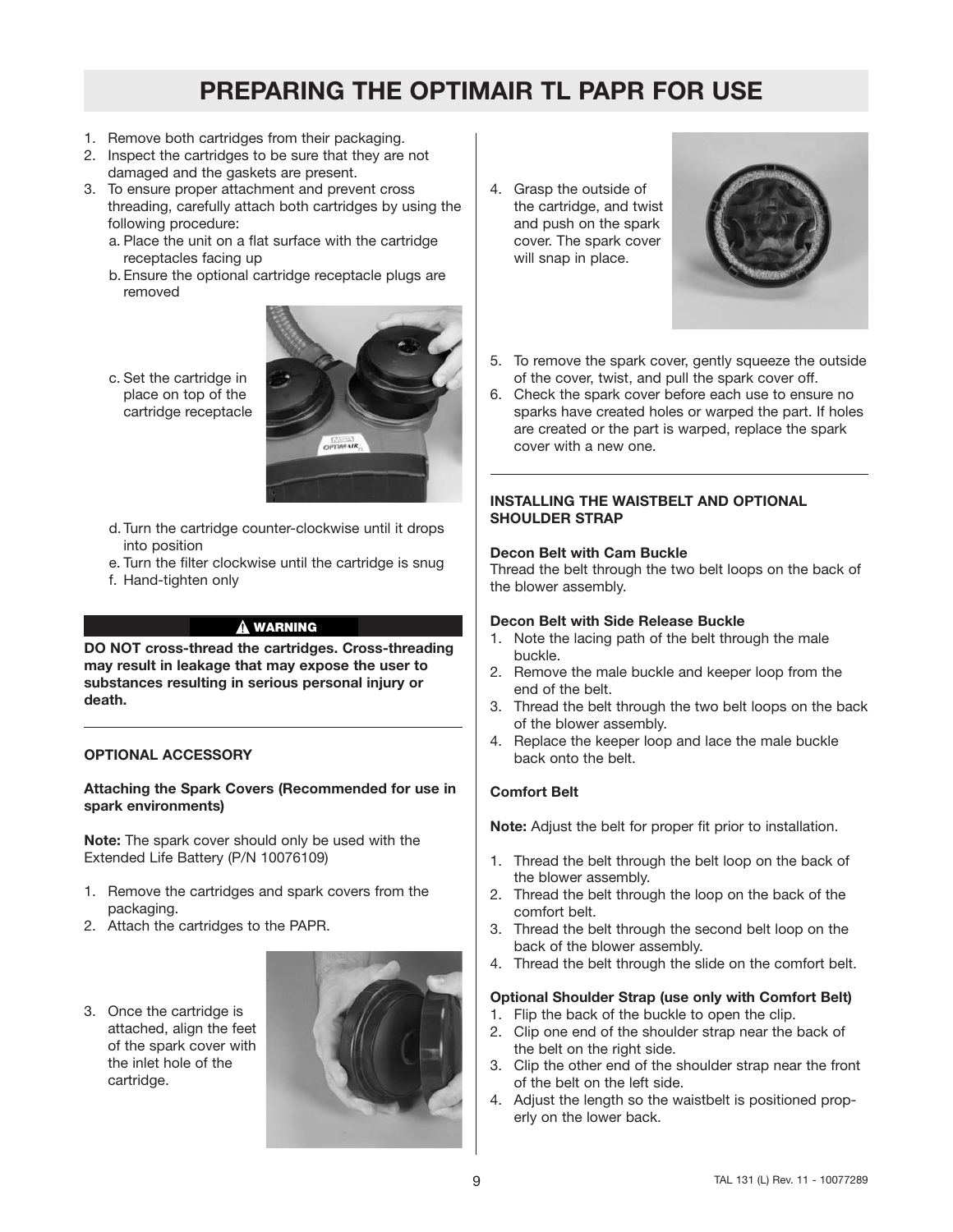- 1. Remove both cartridges from their packaging.
- 2. Inspect the cartridges to be sure that they are not damaged and the gaskets are present.
- 3. To ensure proper attachment and prevent cross threading, carefully attach both cartridges by using the following procedure:
	- a. Place the unit on a flat surface with the cartridge receptacles facing up
	- b.Ensure the optional cartridge receptacle plugs are removed



- c. Set the cartridge in place on top of the cartridge receptacle
- d.Turn the cartridge counter-clockwise until it drops into position
- e. Turn the filter clockwise until the cartridge is snug
- f. Hand-tighten only

#### **WARNING**

**DO NOT cross-thread the cartridges. Cross-threading may result in leakage that may expose the user to substances resulting in serious personal injury or death.**

#### **OPTIONAL ACCESSORY**

#### **Attaching the Spark Covers (Recommended for use in spark environments)**

**Note:** The spark cover should only be used with the Extended Life Battery (P/N 10076109)

- 1. Remove the cartridges and spark covers from the packaging.
- 2. Attach the cartridges to the PAPR.
- 3. Once the cartridge is attached, align the feet of the spark cover with the inlet hole of the cartridge.



4. Grasp the outside of the cartridge, and twist and push on the spark cover. The spark cover will snap in place.



- 5. To remove the spark cover, gently squeeze the outside of the cover, twist, and pull the spark cover off.
- 6. Check the spark cover before each use to ensure no sparks have created holes or warped the part. If holes are created or the part is warped, replace the spark cover with a new one.

#### **INSTALLING THE WAISTBELT AND OPTIONAL SHOULDER STRAP**

#### **Decon Belt with Cam Buckle**

Thread the belt through the two belt loops on the back of the blower assembly.

#### **Decon Belt with Side Release Buckle**

- 1. Note the lacing path of the belt through the male buckle.
- 2. Remove the male buckle and keeper loop from the end of the belt.
- 3. Thread the belt through the two belt loops on the back of the blower assembly.
- 4. Replace the keeper loop and lace the male buckle back onto the belt.

#### **Comfort Belt**

**Note:** Adjust the belt for proper fit prior to installation.

- 1. Thread the belt through the belt loop on the back of the blower assembly.
- 2. Thread the belt through the loop on the back of the comfort belt.
- 3. Thread the belt through the second belt loop on the back of the blower assembly.
- 4. Thread the belt through the slide on the comfort belt.

#### **Optional Shoulder Strap (use only with Comfort Belt)**

- 1. Flip the back of the buckle to open the clip.
- 2. Clip one end of the shoulder strap near the back of the belt on the right side.
- 3. Clip the other end of the shoulder strap near the front of the belt on the left side.
- 4. Adjust the length so the waistbelt is positioned properly on the lower back.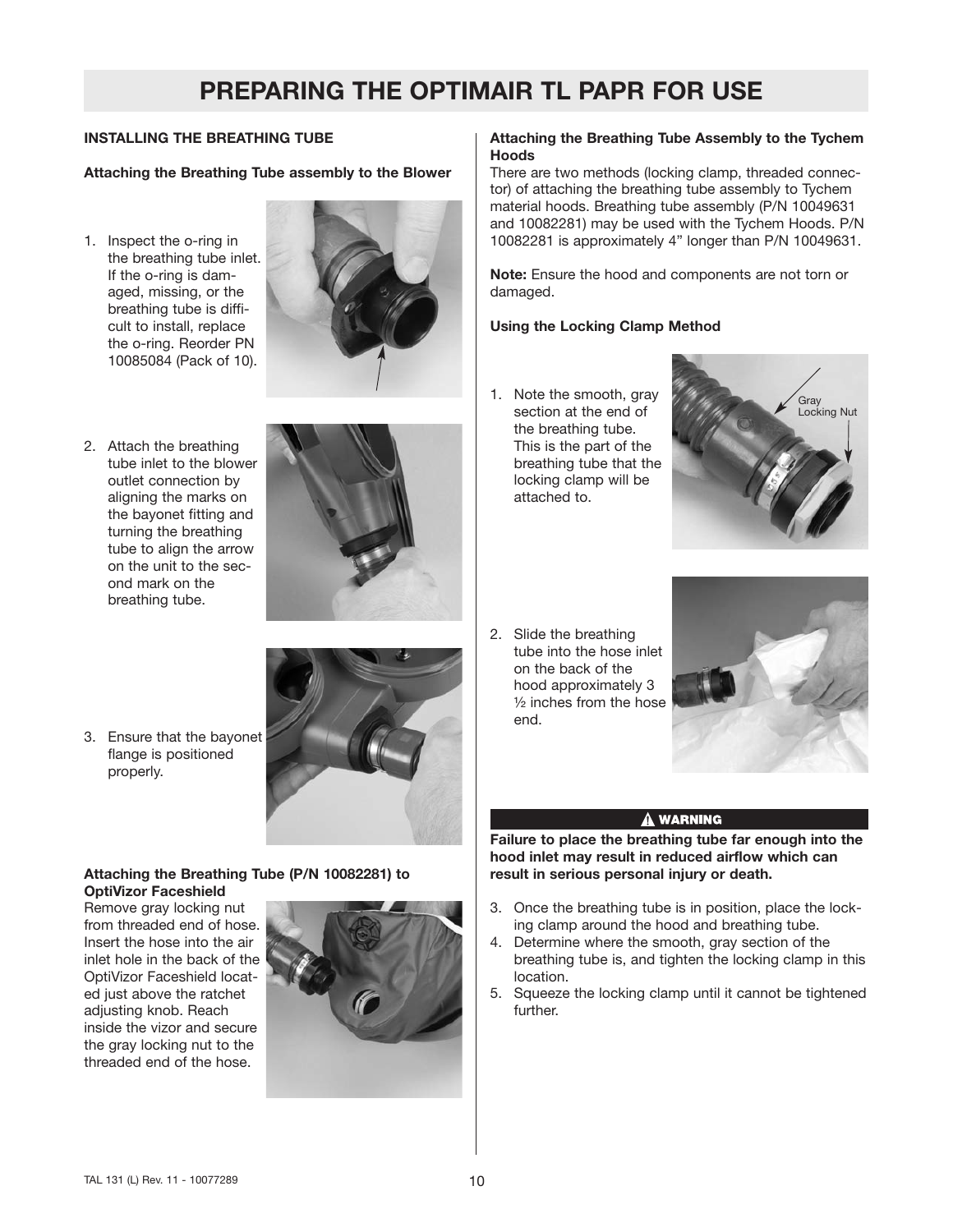### **INSTALLING THE BREATHING TUBE**

#### **Attaching the Breathing Tube assembly to the Blower**

1. Inspect the o-ring in the breathing tube inlet. If the o-ring is damaged, missing, or the breathing tube is difficult to install, replace the o-ring. Reorder PN 10085084 (Pack of 10).



2. Attach the breathing tube inlet to the blower outlet connection by aligning the marks on the bayonet fitting and turning the breathing tube to align the arrow on the unit to the second mark on the breathing tube.



3. Ensure that the bayonet flange is positioned properly.

#### **Attaching the Breathing Tube (P/N 10082281) to OptiVizor Faceshield**

Remove gray locking nut from threaded end of hose. Insert the hose into the air inlet hole in the back of the OptiVizor Faceshield located just above the ratchet adjusting knob. Reach inside the vizor and secure the gray locking nut to the threaded end of the hose.



#### **Attaching the Breathing Tube Assembly to the Tychem Hoods**

There are two methods (locking clamp, threaded connector) of attaching the breathing tube assembly to Tychem material hoods. Breathing tube assembly (P/N 10049631 and 10082281) may be used with the Tychem Hoods. P/N 10082281 is approximately 4" longer than P/N 10049631.

**Note:** Ensure the hood and components are not torn or damaged.

#### **Using the Locking Clamp Method**

1. Note the smooth, gray section at the end of the breathing tube. This is the part of the breathing tube that the locking clamp will be attached to.



2. Slide the breathing tube into the hose inlet on the back of the hood approximately 3 ½ inches from the hose end.



#### A WARNING

**Failure to place the breathing tube far enough into the hood inlet may result in reduced airflow which can result in serious personal injury or death.**

- 3. Once the breathing tube is in position, place the locking clamp around the hood and breathing tube.
- 4. Determine where the smooth, gray section of the breathing tube is, and tighten the locking clamp in this location.
- 5. Squeeze the locking clamp until it cannot be tightened further.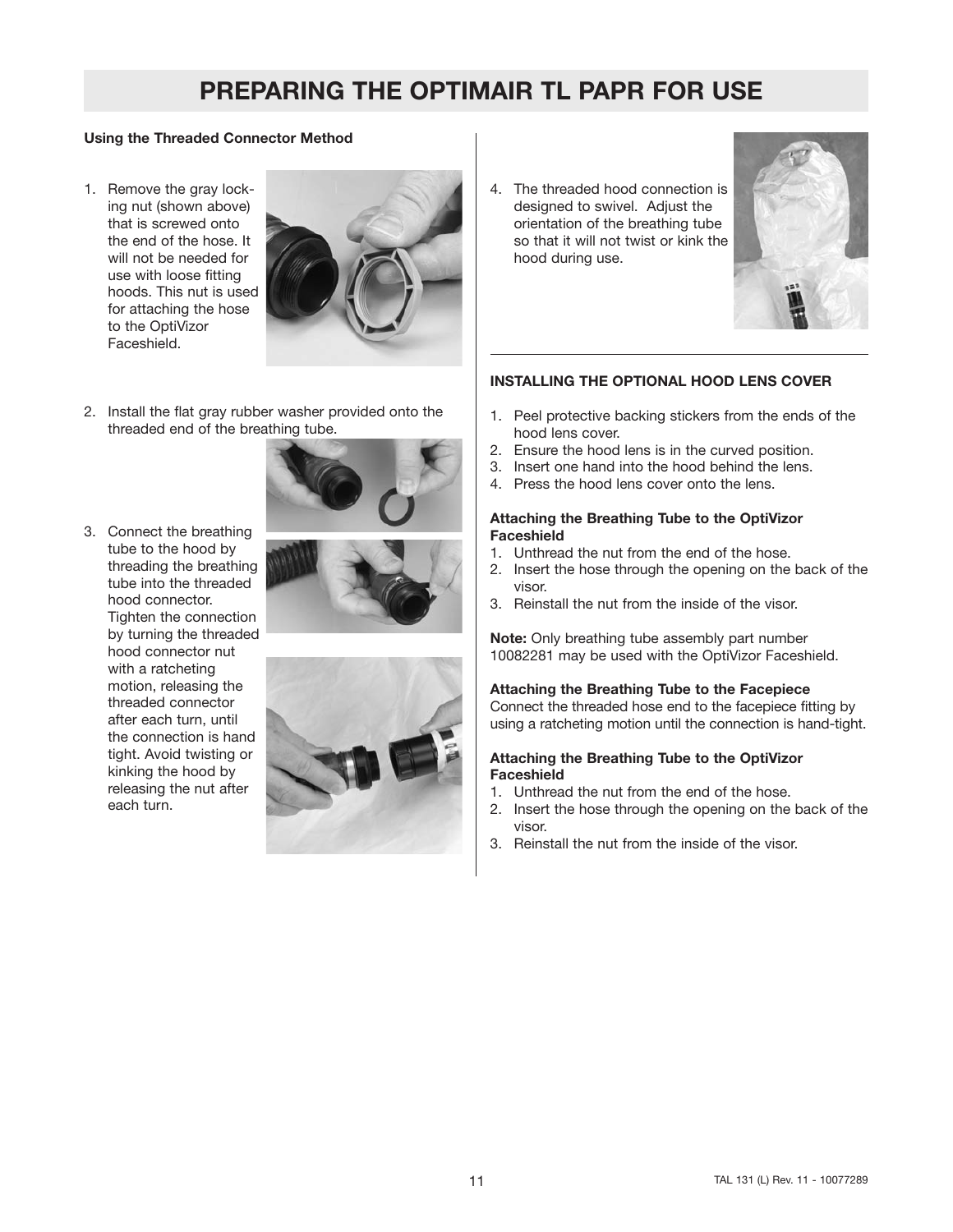#### **Using the Threaded Connector Method**

1. Remove the gray locking nut (shown above) that is screwed onto the end of the hose. It will not be needed for use with loose fitting hoods. This nut is used for attaching the hose to the OptiVizor Faceshield.



- 2. Install the flat gray rubber washer provided onto the threaded end of the breathing tube.
- 3. Connect the breathing tube to the hood by threading the breathing tube into the threaded hood connector. Tighten the connection by turning the threaded hood connector nut with a ratcheting motion, releasing the threaded connector after each turn, until the connection is hand tight. Avoid twisting or kinking the hood by releasing the nut after each turn.





4. The threaded hood connection is designed to swivel. Adjust the orientation of the breathing tube so that it will not twist or kink the hood during use.



#### **INSTALLING THE OPTIONAL HOOD LENS COVER**

- 1. Peel protective backing stickers from the ends of the hood lens cover.
- 2. Ensure the hood lens is in the curved position.
- 3. Insert one hand into the hood behind the lens.
- 4. Press the hood lens cover onto the lens.

#### **Attaching the Breathing Tube to the OptiVizor Faceshield**

- 1. Unthread the nut from the end of the hose.
- 2. Insert the hose through the opening on the back of the visor.
- 3. Reinstall the nut from the inside of the visor.

**Note:** Only breathing tube assembly part number 10082281 may be used with the OptiVizor Faceshield.

#### **Attaching the Breathing Tube to the Facepiece**

Connect the threaded hose end to the facepiece fitting by using a ratcheting motion until the connection is hand-tight.

#### **Attaching the Breathing Tube to the OptiVizor Faceshield**

- 1. Unthread the nut from the end of the hose.
- 2. Insert the hose through the opening on the back of the visor.
- 3. Reinstall the nut from the inside of the visor.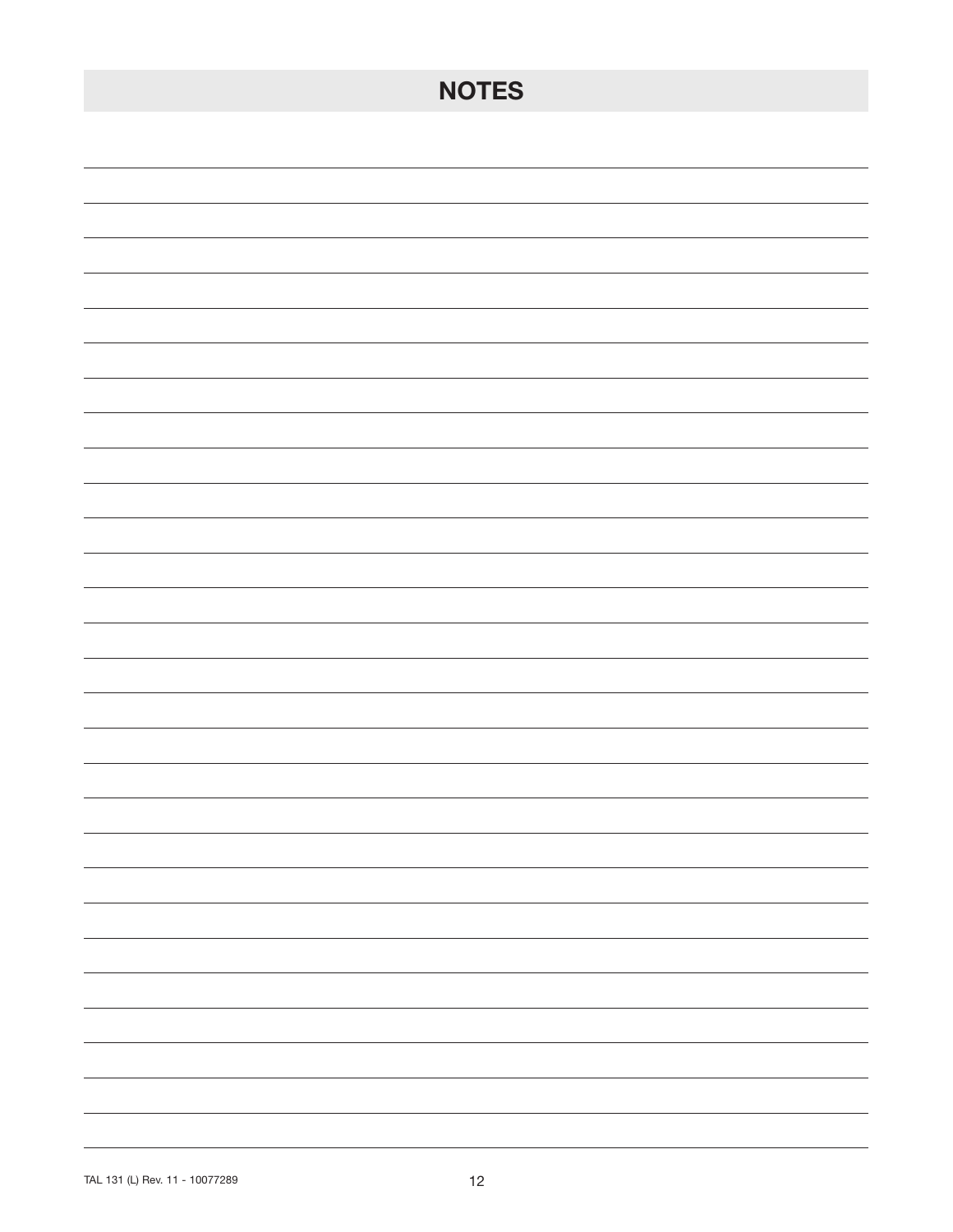| <b>NOTES</b>                  |
|-------------------------------|
|                               |
|                               |
|                               |
|                               |
|                               |
|                               |
|                               |
|                               |
|                               |
|                               |
|                               |
|                               |
|                               |
|                               |
|                               |
|                               |
|                               |
| $\overline{\phantom{0}}$      |
| -                             |
| $\overline{\phantom{0}}$      |
| -                             |
| $\sim$ $\sim$                 |
| $\overline{\phantom{0}}$<br>- |
|                               |
|                               |
|                               |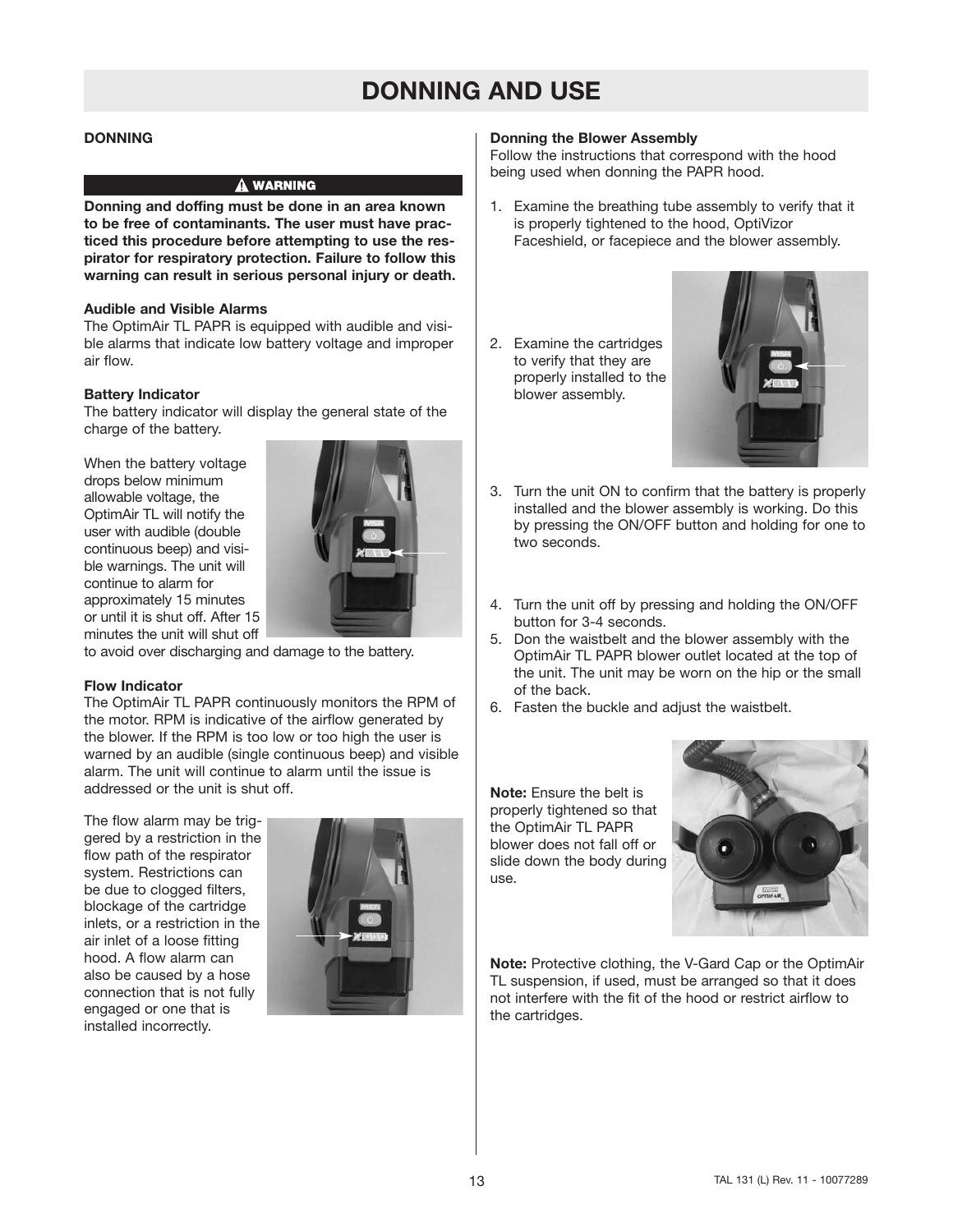#### **DONNING**

#### A WARNING

**Donning and doffing must be done in an area known to be free of contaminants. The user must have practiced this procedure before attempting to use the respirator for respiratory protection. Failure to follow this warning can result in serious personal injury or death.**

#### **Audible and Visible Alarms**

The OptimAir TL PAPR is equipped with audible and visible alarms that indicate low battery voltage and improper air flow.

#### **Battery Indicator**

The battery indicator will display the general state of the charge of the battery.

When the battery voltage drops below minimum allowable voltage, the OptimAir TL will notify the user with audible (double continuous beep) and visible warnings. The unit will continue to alarm for approximately 15 minutes or until it is shut off. After 15 minutes the unit will shut off



to avoid over discharging and damage to the battery.

#### **Flow Indicator**

The OptimAir TL PAPR continuously monitors the RPM of the motor. RPM is indicative of the airflow generated by the blower. If the RPM is too low or too high the user is warned by an audible (single continuous beep) and visible alarm. The unit will continue to alarm until the issue is addressed or the unit is shut off.

The flow alarm may be triggered by a restriction in the flow path of the respirator system. Restrictions can be due to clogged filters, blockage of the cartridge inlets, or a restriction in the air inlet of a loose fitting hood. A flow alarm can also be caused by a hose connection that is not fully engaged or one that is installed incorrectly.



#### **Donning the Blower Assembly**

Follow the instructions that correspond with the hood being used when donning the PAPR hood.

- 1. Examine the breathing tube assembly to verify that it is properly tightened to the hood, OptiVizor Faceshield, or facepiece and the blower assembly.
- 2. Examine the cartridges to verify that they are properly installed to the blower assembly.



- 3. Turn the unit ON to confirm that the battery is properly installed and the blower assembly is working. Do this by pressing the ON/OFF button and holding for one to two seconds.
- 4. Turn the unit off by pressing and holding the ON/OFF button for 3-4 seconds.
- 5. Don the waistbelt and the blower assembly with the OptimAir TL PAPR blower outlet located at the top of the unit. The unit may be worn on the hip or the small of the back.
- 6. Fasten the buckle and adjust the waistbelt.

**Note:** Ensure the belt is properly tightened so that the OptimAir TL PAPR blower does not fall off or slide down the body during use.



**Note:** Protective clothing, the V-Gard Cap or the OptimAir TL suspension, if used, must be arranged so that it does not interfere with the fit of the hood or restrict airflow to the cartridges.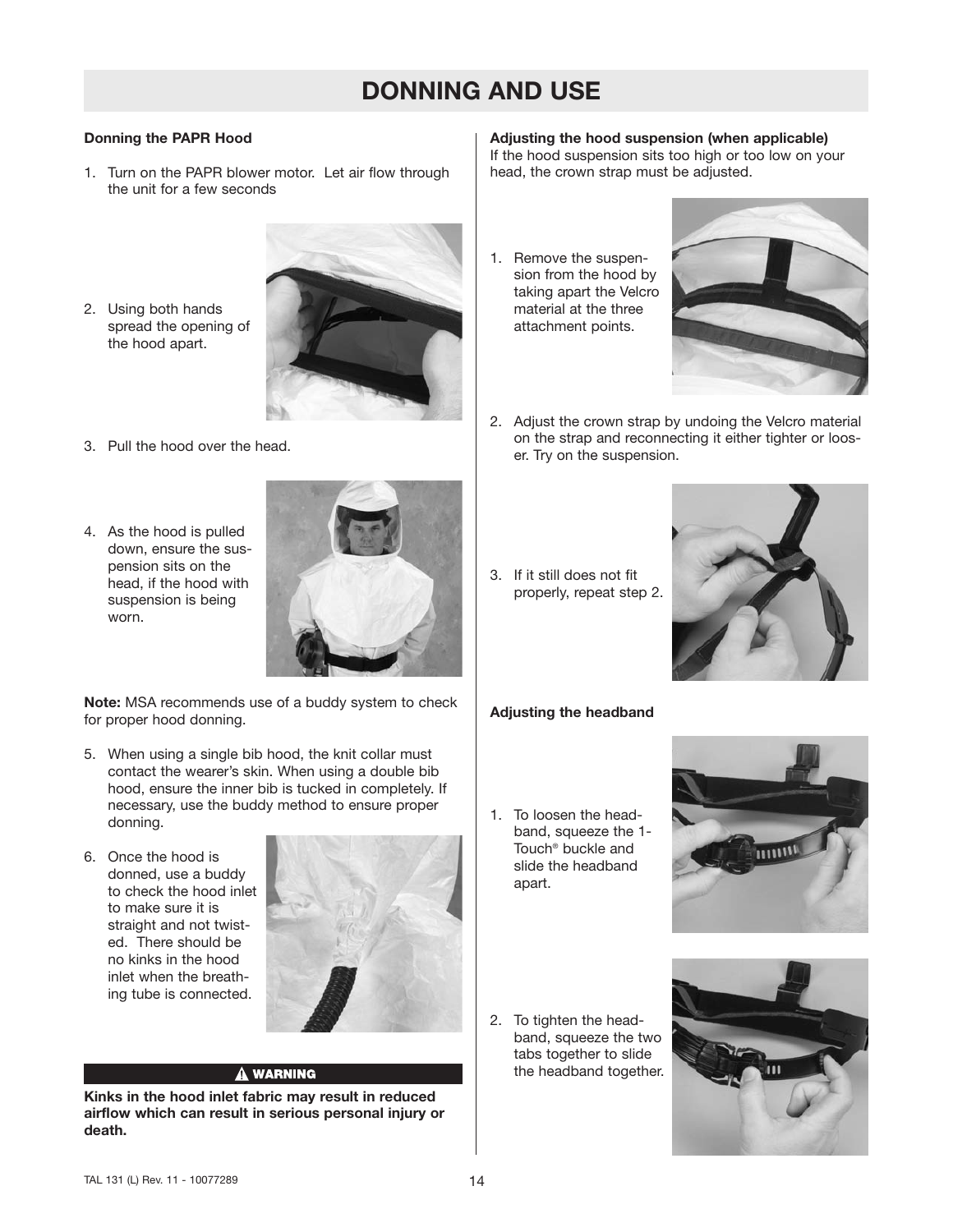#### **Donning the PAPR Hood**

- 1. Turn on the PAPR blower motor. Let air flow through the unit for a few seconds
- 2. Using both hands spread the opening of the hood apart.



- 3. Pull the hood over the head.
- 4. As the hood is pulled down, ensure the suspension sits on the head, if the hood with suspension is being worn.



**Note:** MSA recommends use of a buddy system to check for proper hood donning.

- 5. When using a single bib hood, the knit collar must contact the wearer's skin. When using a double bib hood, ensure the inner bib is tucked in completely. If necessary, use the buddy method to ensure proper donning.
- 6. Once the hood is donned, use a buddy to check the hood inlet to make sure it is straight and not twisted. There should be no kinks in the hood inlet when the breathing tube is connected.



#### A WARNING

**Kinks in the hood inlet fabric may result in reduced airflow which can result in serious personal injury or death.**

**Adjusting the hood suspension (when applicable)** If the hood suspension sits too high or too low on your head, the crown strap must be adjusted.

1. Remove the suspension from the hood by taking apart the Velcro material at the three attachment points.



- 2. Adjust the crown strap by undoing the Velcro material on the strap and reconnecting it either tighter or looser. Try on the suspension.
- 3. If it still does not fit properly, repeat step 2.



#### **Adjusting the headband**

1. To loosen the headband, squeeze the 1- Touch® buckle and slide the headband apart.



2. To tighten the headband, squeeze the two tabs together to slide the headband together.

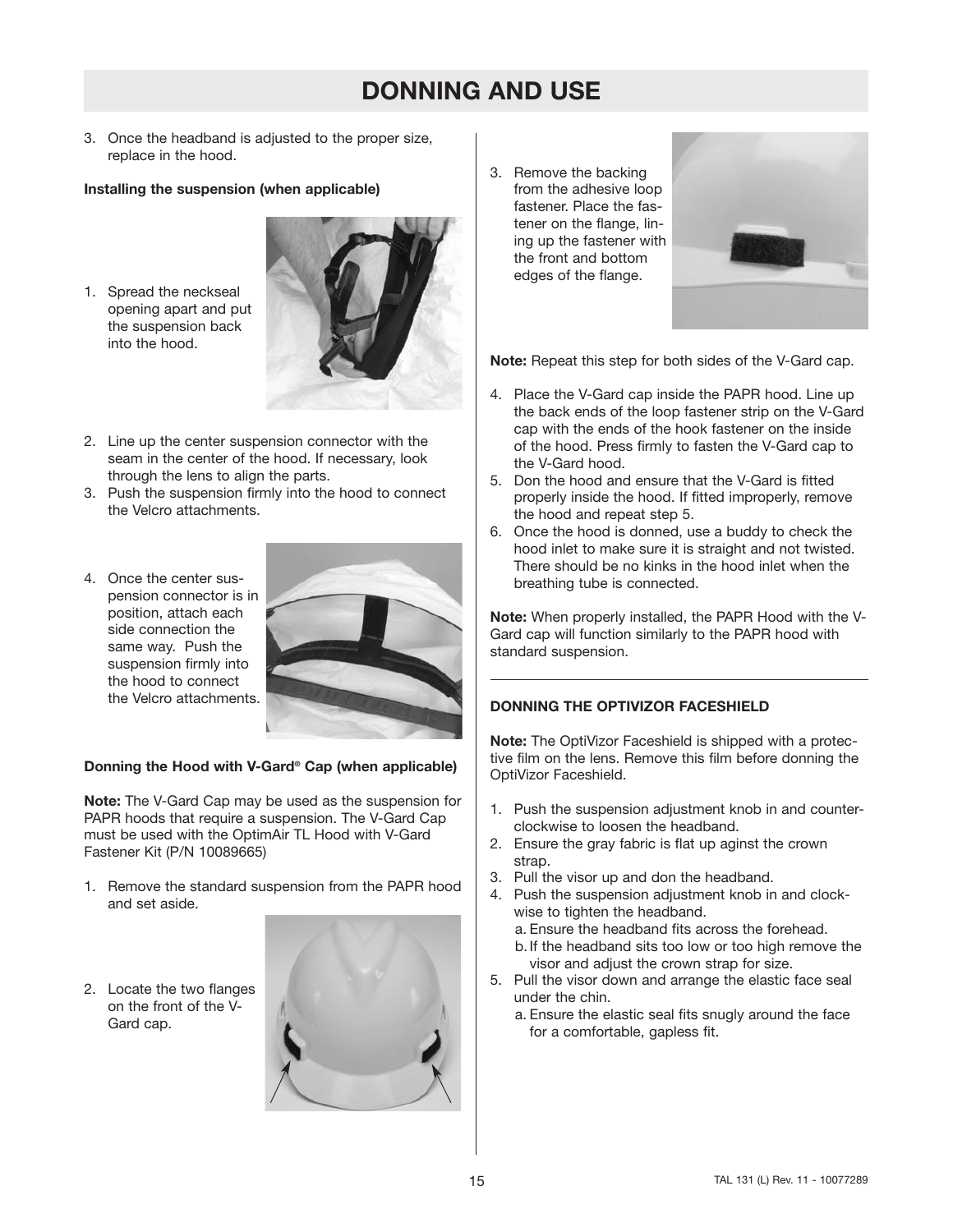3. Once the headband is adjusted to the proper size, replace in the hood.

#### **Installing the suspension (when applicable)**

1. Spread the neckseal opening apart and put the suspension back into the hood.



- 2. Line up the center suspension connector with the seam in the center of the hood. If necessary, look through the lens to align the parts.
- 3. Push the suspension firmly into the hood to connect the Velcro attachments.
- 4. Once the center suspension connector is in position, attach each side connection the same way. Push the suspension firmly into the hood to connect the Velcro attachments.



#### **Donning the Hood with V-Gard® Cap (when applicable)**

**Note:** The V-Gard Cap may be used as the suspension for PAPR hoods that require a suspension. The V-Gard Cap must be used with the OptimAir TL Hood with V-Gard Fastener Kit (P/N 10089665)

- 1. Remove the standard suspension from the PAPR hood and set aside.
- 2. Locate the two flanges on the front of the V-Gard cap.



3. Remove the backing from the adhesive loop fastener. Place the fastener on the flange, lining up the fastener with the front and bottom edges of the flange.



**Note:** Repeat this step for both sides of the V-Gard cap.

- 4. Place the V-Gard cap inside the PAPR hood. Line up the back ends of the loop fastener strip on the V-Gard cap with the ends of the hook fastener on the inside of the hood. Press firmly to fasten the V-Gard cap to the V-Gard hood.
- 5. Don the hood and ensure that the V-Gard is fitted properly inside the hood. If fitted improperly, remove the hood and repeat step 5.
- 6. Once the hood is donned, use a buddy to check the hood inlet to make sure it is straight and not twisted. There should be no kinks in the hood inlet when the breathing tube is connected.

**Note:** When properly installed, the PAPR Hood with the V-Gard cap will function similarly to the PAPR hood with standard suspension.

#### **DONNING THE OPTIVIZOR FACESHIELD**

**Note:** The OptiVizor Faceshield is shipped with a protective film on the lens. Remove this film before donning the OptiVizor Faceshield.

- 1. Push the suspension adjustment knob in and counterclockwise to loosen the headband.
- 2. Ensure the gray fabric is flat up aginst the crown strap.
- 3. Pull the visor up and don the headband.
- 4. Push the suspension adjustment knob in and clockwise to tighten the headband.
	- a. Ensure the headband fits across the forehead.
	- b.If the headband sits too low or too high remove the visor and adjust the crown strap for size.
- 5. Pull the visor down and arrange the elastic face seal under the chin.
	- a. Ensure the elastic seal fits snugly around the face for a comfortable, gapless fit.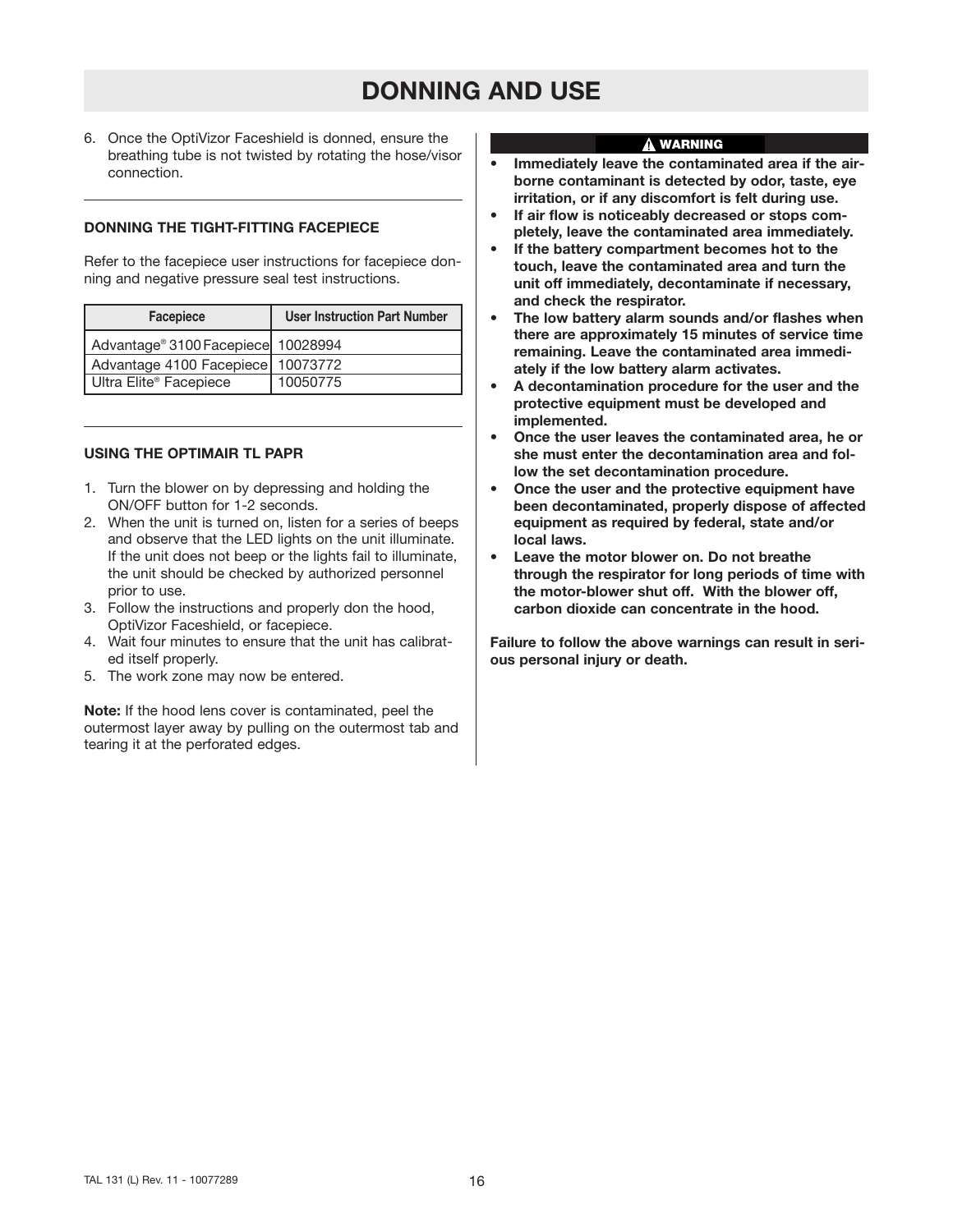6. Once the OptiVizor Faceshield is donned, ensure the breathing tube is not twisted by rotating the hose/visor connection.

#### **DONNING THE TIGHT-FITTING FACEPIECE**

Refer to the facepiece user instructions for facepiece donning and negative pressure seal test instructions.

| <b>Facepiece</b>                   | <b>User Instruction Part Number</b> |  |  |
|------------------------------------|-------------------------------------|--|--|
| Advantage® 3100 Facepiece 10028994 |                                     |  |  |
| Advantage 4100 Facepiece 10073772  |                                     |  |  |
| Ultra Elite® Facepiece             | 10050775                            |  |  |

#### **USING THE OPTIMAIR TL PAPR**

- 1. Turn the blower on by depressing and holding the ON/OFF button for 1-2 seconds.
- 2. When the unit is turned on, listen for a series of beeps and observe that the LED lights on the unit illuminate. If the unit does not beep or the lights fail to illuminate, the unit should be checked by authorized personnel prior to use.
- 3. Follow the instructions and properly don the hood, OptiVizor Faceshield, or facepiece.
- 4. Wait four minutes to ensure that the unit has calibrated itself properly.
- 5. The work zone may now be entered.

**Note:** If the hood lens cover is contaminated, peel the outermost layer away by pulling on the outermost tab and tearing it at the perforated edges.

#### **WARNING**

- **Immediately leave the contaminated area if the airborne contaminant is detected by odor, taste, eye irritation, or if any discomfort is felt during use.**
- **If air flow is noticeably decreased or stops completely, leave the contaminated area immediately.**
- **If the battery compartment becomes hot to the touch, leave the contaminated area and turn the unit off immediately, decontaminate if necessary, and check the respirator.**
- **The low battery alarm sounds and/or flashes when there are approximately 15 minutes of service time remaining. Leave the contaminated area immediately if the low battery alarm activates.**
- **A decontamination procedure for the user and the protective equipment must be developed and implemented.**
- **Once the user leaves the contaminated area, he or she must enter the decontamination area and follow the set decontamination procedure.**
- **Once the user and the protective equipment have been decontaminated, properly dispose of affected equipment as required by federal, state and/or local laws.**
- **Leave the motor blower on. Do not breathe through the respirator for long periods of time with the motor-blower shut off. With the blower off, carbon dioxide can concentrate in the hood.**

**Failure to follow the above warnings can result in serious personal injury or death.**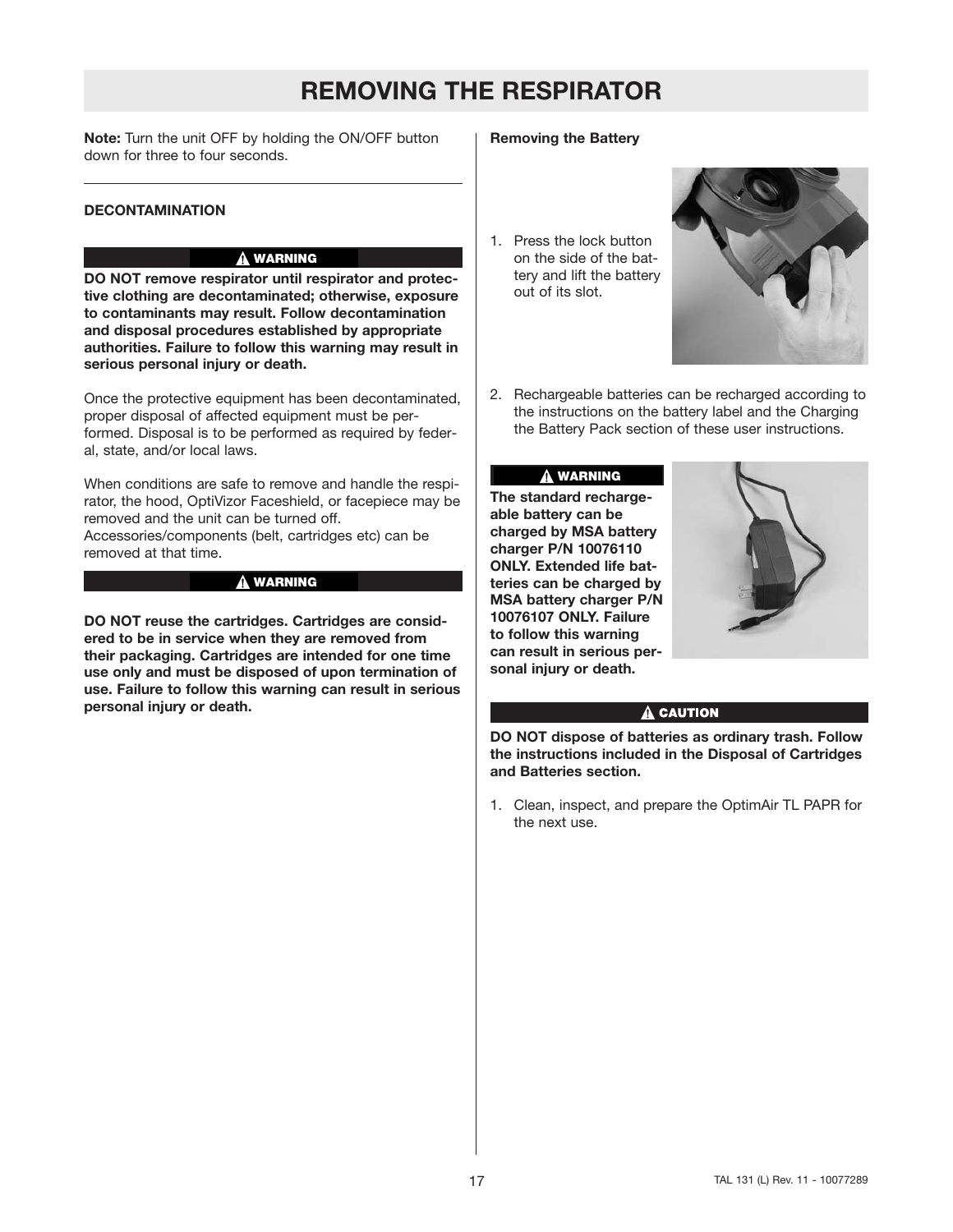## **REMOVING THE RESPIRATOR**

**Note:** Turn the unit OFF by holding the ON/OFF button down for three to four seconds.

#### **DECONTAMINATION**

#### **WARNING**

**DO NOT remove respirator until respirator and protective clothing are decontaminated; otherwise, exposure to contaminants may result. Follow decontamination and disposal procedures established by appropriate authorities. Failure to follow this warning may result in serious personal injury or death.**

Once the protective equipment has been decontaminated, proper disposal of affected equipment must be performed. Disposal is to be performed as required by federal, state, and/or local laws.

When conditions are safe to remove and handle the respirator, the hood, OptiVizor Faceshield, or facepiece may be removed and the unit can be turned off. Accessories/components (belt, cartridges etc) can be removed at that time.

#### **WARNING**

**DO NOT reuse the cartridges. Cartridges are considered to be in service when they are removed from their packaging. Cartridges are intended for one time use only and must be disposed of upon termination of use. Failure to follow this warning can result in serious personal injury or death.**

#### **Removing the Battery**

1. Press the lock button on the side of the battery and lift the battery out of its slot.



2. Rechargeable batteries can be recharged according to the instructions on the battery label and the Charging the Battery Pack section of these user instructions.

#### **WARNING**

**The standard rechargeable battery can be charged by MSA battery charger P/N 10076110 ONLY. Extended life batteries can be charged by MSA battery charger P/N 10076107 ONLY. Failure to follow this warning can result in serious personal injury or death.**



#### A CAUTION

**DO NOT dispose of batteries as ordinary trash. Follow the instructions included in the Disposal of Cartridges and Batteries section.**

1. Clean, inspect, and prepare the OptimAir TL PAPR for the next use.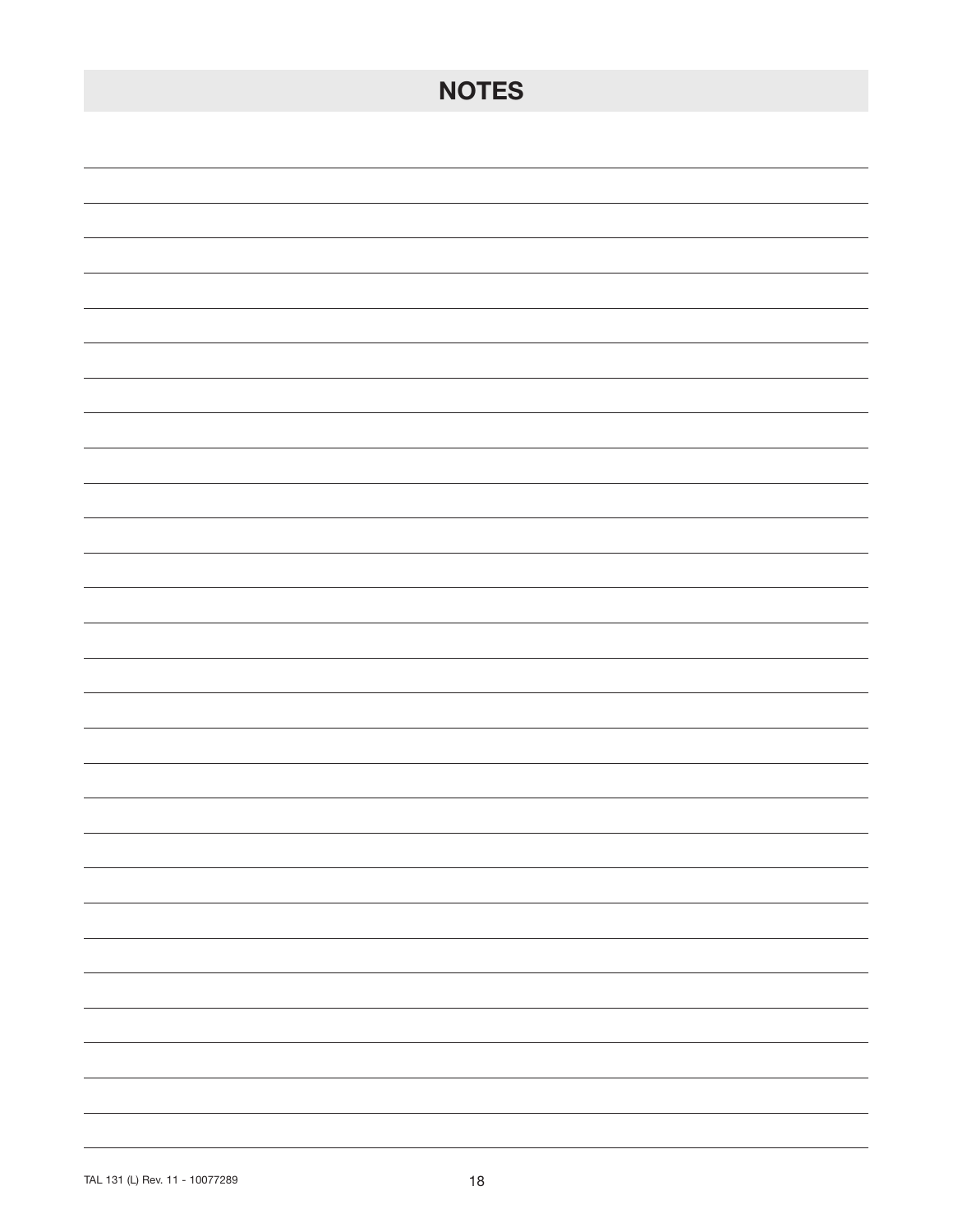| <b>NOTES</b>                                                                                                                                                                                                                                                                                                                                                                                                                                                               |
|----------------------------------------------------------------------------------------------------------------------------------------------------------------------------------------------------------------------------------------------------------------------------------------------------------------------------------------------------------------------------------------------------------------------------------------------------------------------------|
|                                                                                                                                                                                                                                                                                                                                                                                                                                                                            |
|                                                                                                                                                                                                                                                                                                                                                                                                                                                                            |
|                                                                                                                                                                                                                                                                                                                                                                                                                                                                            |
|                                                                                                                                                                                                                                                                                                                                                                                                                                                                            |
|                                                                                                                                                                                                                                                                                                                                                                                                                                                                            |
|                                                                                                                                                                                                                                                                                                                                                                                                                                                                            |
|                                                                                                                                                                                                                                                                                                                                                                                                                                                                            |
|                                                                                                                                                                                                                                                                                                                                                                                                                                                                            |
|                                                                                                                                                                                                                                                                                                                                                                                                                                                                            |
|                                                                                                                                                                                                                                                                                                                                                                                                                                                                            |
|                                                                                                                                                                                                                                                                                                                                                                                                                                                                            |
|                                                                                                                                                                                                                                                                                                                                                                                                                                                                            |
|                                                                                                                                                                                                                                                                                                                                                                                                                                                                            |
|                                                                                                                                                                                                                                                                                                                                                                                                                                                                            |
|                                                                                                                                                                                                                                                                                                                                                                                                                                                                            |
|                                                                                                                                                                                                                                                                                                                                                                                                                                                                            |
|                                                                                                                                                                                                                                                                                                                                                                                                                                                                            |
| $\overline{\phantom{0}}$                                                                                                                                                                                                                                                                                                                                                                                                                                                   |
| -<br>-                                                                                                                                                                                                                                                                                                                                                                                                                                                                     |
| -                                                                                                                                                                                                                                                                                                                                                                                                                                                                          |
| $\frac{1}{2} \left( \frac{1}{2} \right) \left( \frac{1}{2} \right) \left( \frac{1}{2} \right) \left( \frac{1}{2} \right) \left( \frac{1}{2} \right) \left( \frac{1}{2} \right) \left( \frac{1}{2} \right) \left( \frac{1}{2} \right) \left( \frac{1}{2} \right) \left( \frac{1}{2} \right) \left( \frac{1}{2} \right) \left( \frac{1}{2} \right) \left( \frac{1}{2} \right) \left( \frac{1}{2} \right) \left( \frac{1}{2} \right) \left( \frac{1}{2} \right) \left( \frac$ |
| $\overline{\phantom{0}}$                                                                                                                                                                                                                                                                                                                                                                                                                                                   |
| -                                                                                                                                                                                                                                                                                                                                                                                                                                                                          |
|                                                                                                                                                                                                                                                                                                                                                                                                                                                                            |
|                                                                                                                                                                                                                                                                                                                                                                                                                                                                            |
|                                                                                                                                                                                                                                                                                                                                                                                                                                                                            |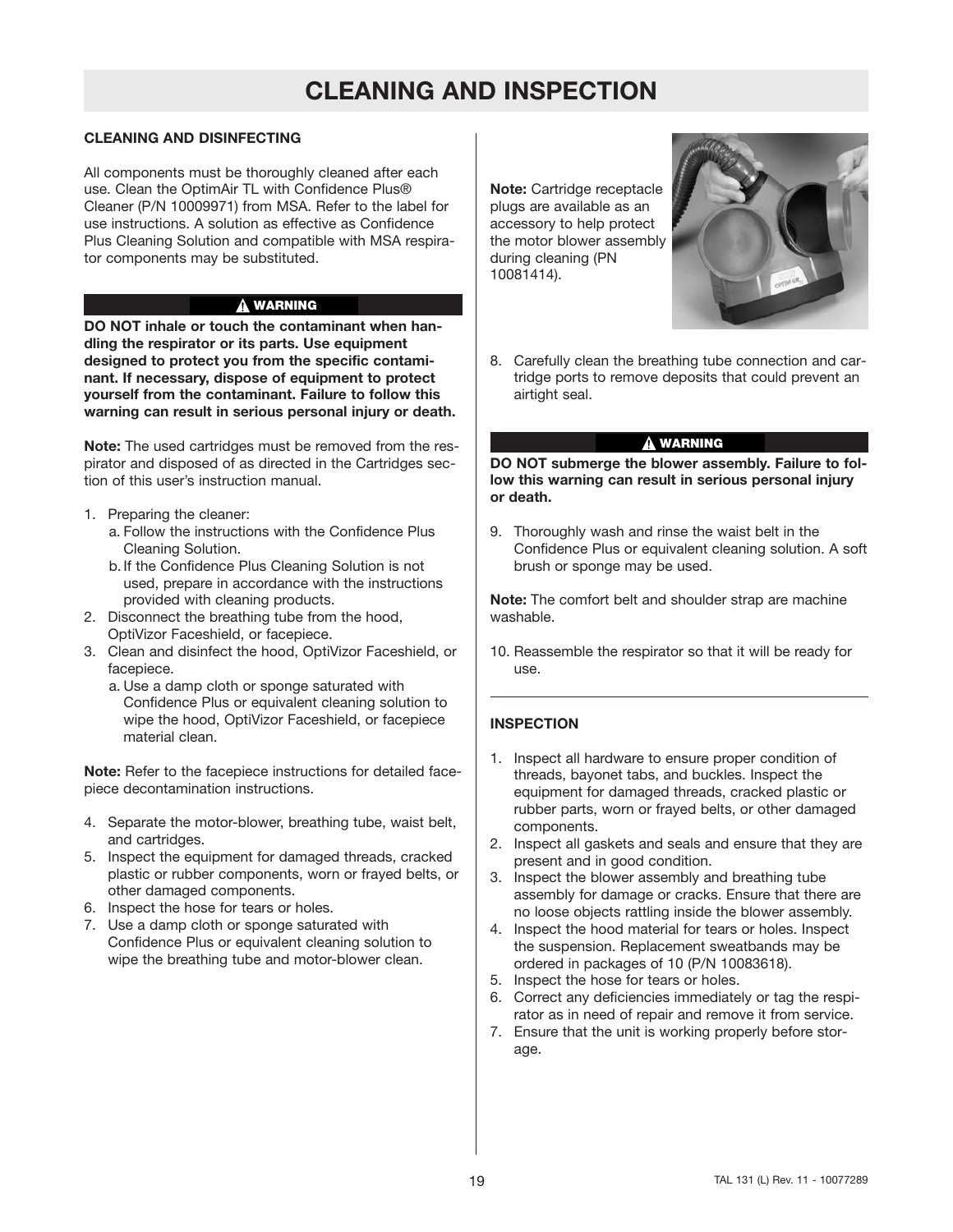## **CLEANING AND INSPECTION**

#### **CLEANING AND DISINFECTING**

All components must be thoroughly cleaned after each use. Clean the OptimAir TL with Confidence Plus® Cleaner (P/N 10009971) from MSA. Refer to the label for use instructions. A solution as effective as Confidence Plus Cleaning Solution and compatible with MSA respirator components may be substituted.

#### **WARNING**

**DO NOT inhale or touch the contaminant when handling the respirator or its parts. Use equipment designed to protect you from the specific contaminant. If necessary, dispose of equipment to protect yourself from the contaminant. Failure to follow this warning can result in serious personal injury or death.**

**Note:** The used cartridges must be removed from the respirator and disposed of as directed in the Cartridges section of this user's instruction manual.

- 1. Preparing the cleaner:
	- a. Follow the instructions with the Confidence Plus Cleaning Solution.
	- b.If the Confidence Plus Cleaning Solution is not used, prepare in accordance with the instructions provided with cleaning products.
- 2. Disconnect the breathing tube from the hood, OptiVizor Faceshield, or facepiece.
- 3. Clean and disinfect the hood, OptiVizor Faceshield, or facepiece.
	- a. Use a damp cloth or sponge saturated with Confidence Plus or equivalent cleaning solution to wipe the hood, OptiVizor Faceshield, or facepiece material clean.

**Note:** Refer to the facepiece instructions for detailed facepiece decontamination instructions.

- 4. Separate the motor-blower, breathing tube, waist belt, and cartridges.
- 5. Inspect the equipment for damaged threads, cracked plastic or rubber components, worn or frayed belts, or other damaged components.
- 6. Inspect the hose for tears or holes.
- 7. Use a damp cloth or sponge saturated with Confidence Plus or equivalent cleaning solution to wipe the breathing tube and motor-blower clean.

**Note:** Cartridge receptacle plugs are available as an accessory to help protect the motor blower assembly during cleaning (PN 10081414).



8. Carefully clean the breathing tube connection and cartridge ports to remove deposits that could prevent an airtight seal.

#### **WARNING**

**DO NOT submerge the blower assembly. Failure to follow this warning can result in serious personal injury or death.**

9. Thoroughly wash and rinse the waist belt in the Confidence Plus or equivalent cleaning solution. A soft brush or sponge may be used.

**Note:** The comfort belt and shoulder strap are machine washable.

10. Reassemble the respirator so that it will be ready for use.

#### **INSPECTION**

- 1. Inspect all hardware to ensure proper condition of threads, bayonet tabs, and buckles. Inspect the equipment for damaged threads, cracked plastic or rubber parts, worn or frayed belts, or other damaged components.
- 2. Inspect all gaskets and seals and ensure that they are present and in good condition.
- 3. Inspect the blower assembly and breathing tube assembly for damage or cracks. Ensure that there are no loose objects rattling inside the blower assembly.
- 4. Inspect the hood material for tears or holes. Inspect the suspension. Replacement sweatbands may be ordered in packages of 10 (P/N 10083618).
- 5. Inspect the hose for tears or holes.
- 6. Correct any deficiencies immediately or tag the respirator as in need of repair and remove it from service.
- 7. Ensure that the unit is working properly before storage.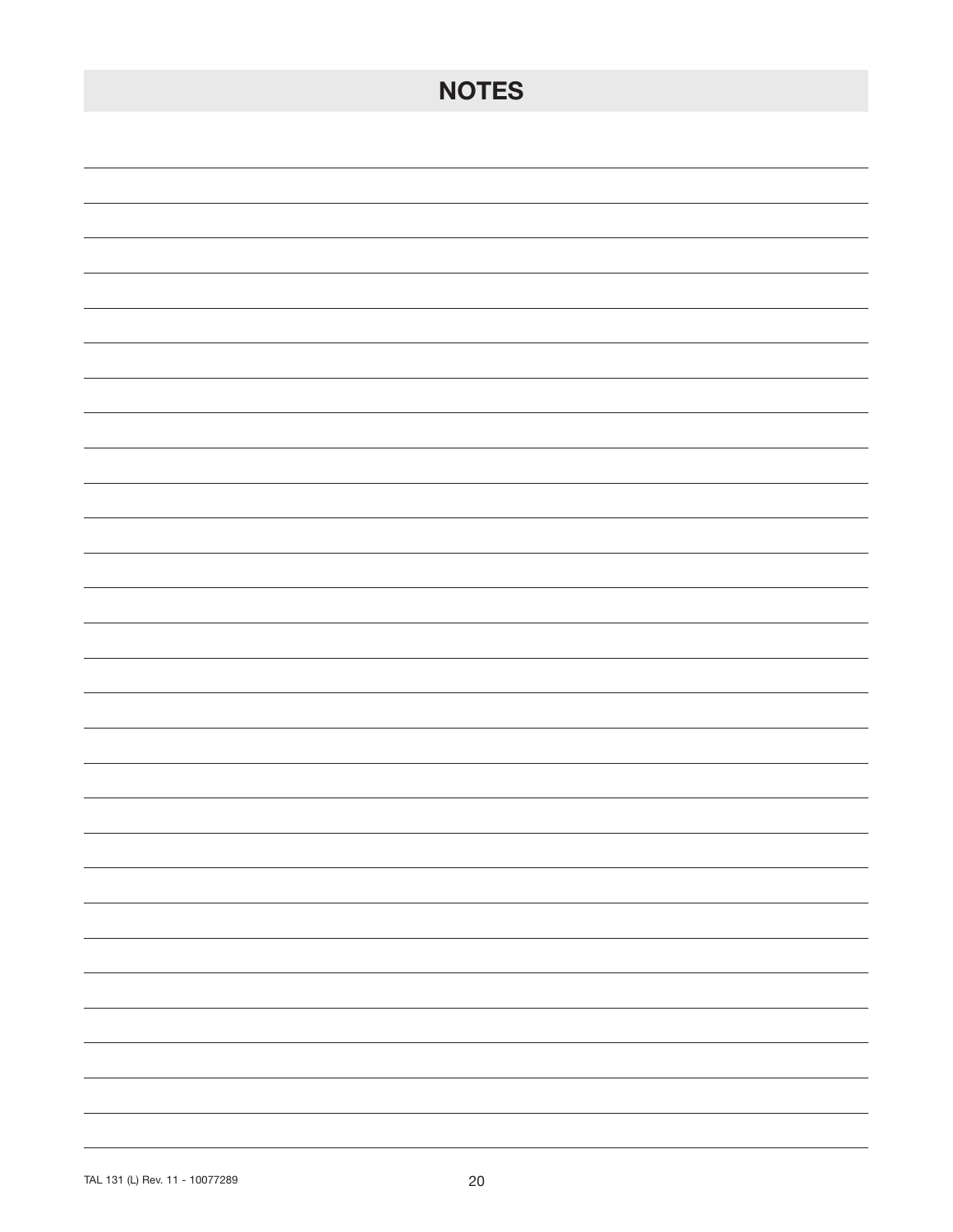| <b>NOTES</b>                                                                                                                                                                                                                                                                                                                                                                                                                                                               |
|----------------------------------------------------------------------------------------------------------------------------------------------------------------------------------------------------------------------------------------------------------------------------------------------------------------------------------------------------------------------------------------------------------------------------------------------------------------------------|
|                                                                                                                                                                                                                                                                                                                                                                                                                                                                            |
|                                                                                                                                                                                                                                                                                                                                                                                                                                                                            |
|                                                                                                                                                                                                                                                                                                                                                                                                                                                                            |
|                                                                                                                                                                                                                                                                                                                                                                                                                                                                            |
|                                                                                                                                                                                                                                                                                                                                                                                                                                                                            |
|                                                                                                                                                                                                                                                                                                                                                                                                                                                                            |
|                                                                                                                                                                                                                                                                                                                                                                                                                                                                            |
|                                                                                                                                                                                                                                                                                                                                                                                                                                                                            |
|                                                                                                                                                                                                                                                                                                                                                                                                                                                                            |
|                                                                                                                                                                                                                                                                                                                                                                                                                                                                            |
|                                                                                                                                                                                                                                                                                                                                                                                                                                                                            |
|                                                                                                                                                                                                                                                                                                                                                                                                                                                                            |
|                                                                                                                                                                                                                                                                                                                                                                                                                                                                            |
|                                                                                                                                                                                                                                                                                                                                                                                                                                                                            |
| $\sim$ $\sim$                                                                                                                                                                                                                                                                                                                                                                                                                                                              |
| $\sim$ $\sim$                                                                                                                                                                                                                                                                                                                                                                                                                                                              |
| $\frac{1}{2} \left( \frac{1}{2} \right) \left( \frac{1}{2} \right) \left( \frac{1}{2} \right) \left( \frac{1}{2} \right) \left( \frac{1}{2} \right) \left( \frac{1}{2} \right) \left( \frac{1}{2} \right) \left( \frac{1}{2} \right) \left( \frac{1}{2} \right) \left( \frac{1}{2} \right) \left( \frac{1}{2} \right) \left( \frac{1}{2} \right) \left( \frac{1}{2} \right) \left( \frac{1}{2} \right) \left( \frac{1}{2} \right) \left( \frac{1}{2} \right) \left( \frac$ |
| $\overline{\phantom{a}}$                                                                                                                                                                                                                                                                                                                                                                                                                                                   |
| $\overline{\phantom{a}}$                                                                                                                                                                                                                                                                                                                                                                                                                                                   |
| $\frac{1}{2} \left( \frac{1}{2} \right) \left( \frac{1}{2} \right) \left( \frac{1}{2} \right) \left( \frac{1}{2} \right) \left( \frac{1}{2} \right) \left( \frac{1}{2} \right) \left( \frac{1}{2} \right) \left( \frac{1}{2} \right) \left( \frac{1}{2} \right) \left( \frac{1}{2} \right) \left( \frac{1}{2} \right) \left( \frac{1}{2} \right) \left( \frac{1}{2} \right) \left( \frac{1}{2} \right) \left( \frac{1}{2} \right) \left( \frac{1}{2} \right) \left( \frac$ |
| $\sim$ $\sim$ $\sim$ $\sim$                                                                                                                                                                                                                                                                                                                                                                                                                                                |
|                                                                                                                                                                                                                                                                                                                                                                                                                                                                            |
| -                                                                                                                                                                                                                                                                                                                                                                                                                                                                          |
| $\overline{\phantom{0}}$                                                                                                                                                                                                                                                                                                                                                                                                                                                   |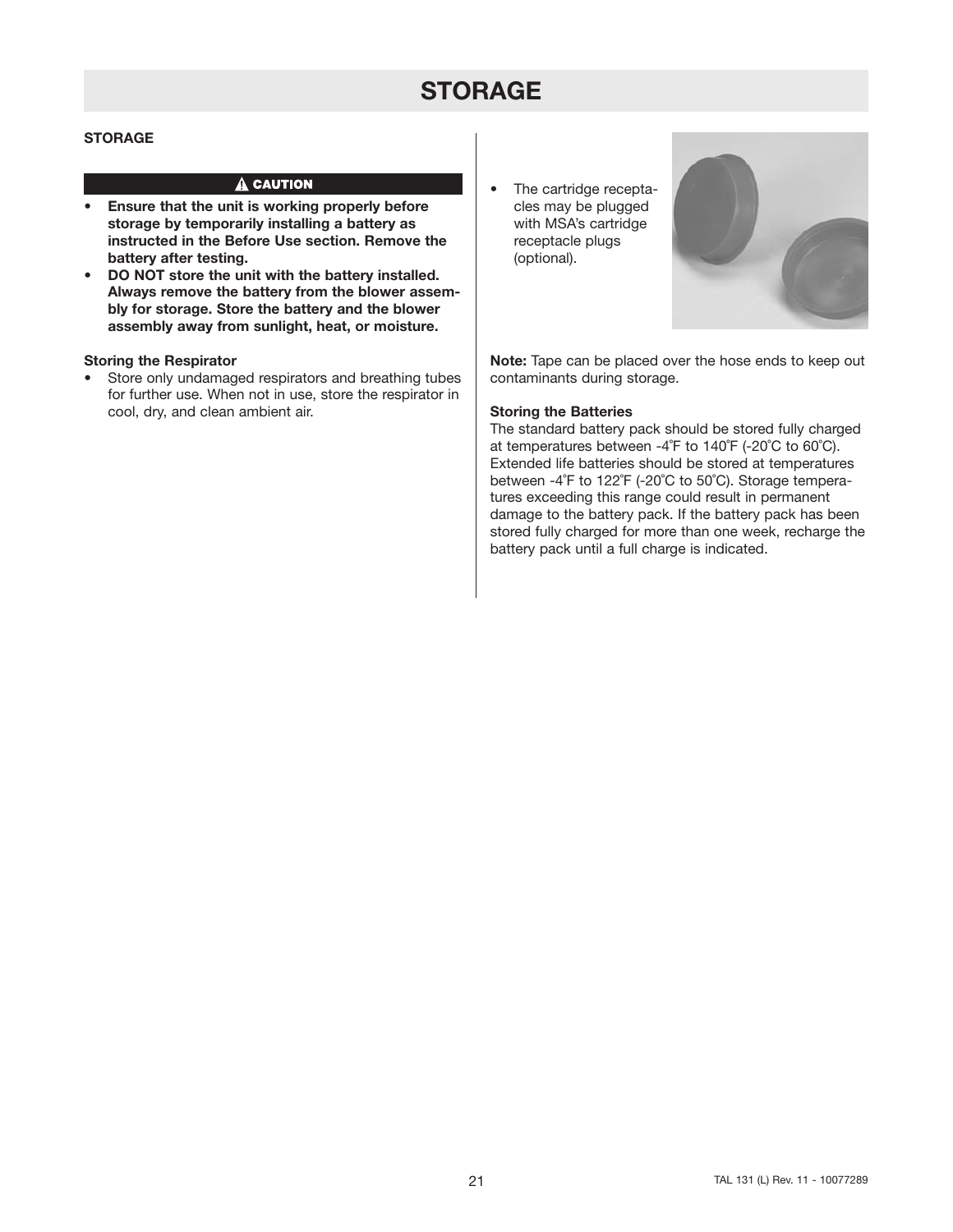## **STORAGE**

#### **STORAGE**

#### $\hat{\mathbf{A}}$  CAUTION

- **Ensure that the unit is working properly before storage by temporarily installing a battery as instructed in the Before Use section. Remove the battery after testing.**
- **DO NOT store the unit with the battery installed. Always remove the battery from the blower assembly for storage. Store the battery and the blower assembly away from sunlight, heat, or moisture.**

#### **Storing the Respirator**

- Store only undamaged respirators and breathing tubes for further use. When not in use, store the respirator in cool, dry, and clean ambient air.
- The cartridge receptacles may be plugged with MSA's cartridge receptacle plugs (optional).



**Note:** Tape can be placed over the hose ends to keep out contaminants during storage.

#### **Storing the Batteries**

The standard battery pack should be stored fully charged at temperatures between -4˚F to 140˚F (-20˚C to 60˚C). Extended life batteries should be stored at temperatures between -4˚F to 122˚F (-20˚C to 50˚C). Storage temperatures exceeding this range could result in permanent damage to the battery pack. If the battery pack has been stored fully charged for more than one week, recharge the battery pack until a full charge is indicated.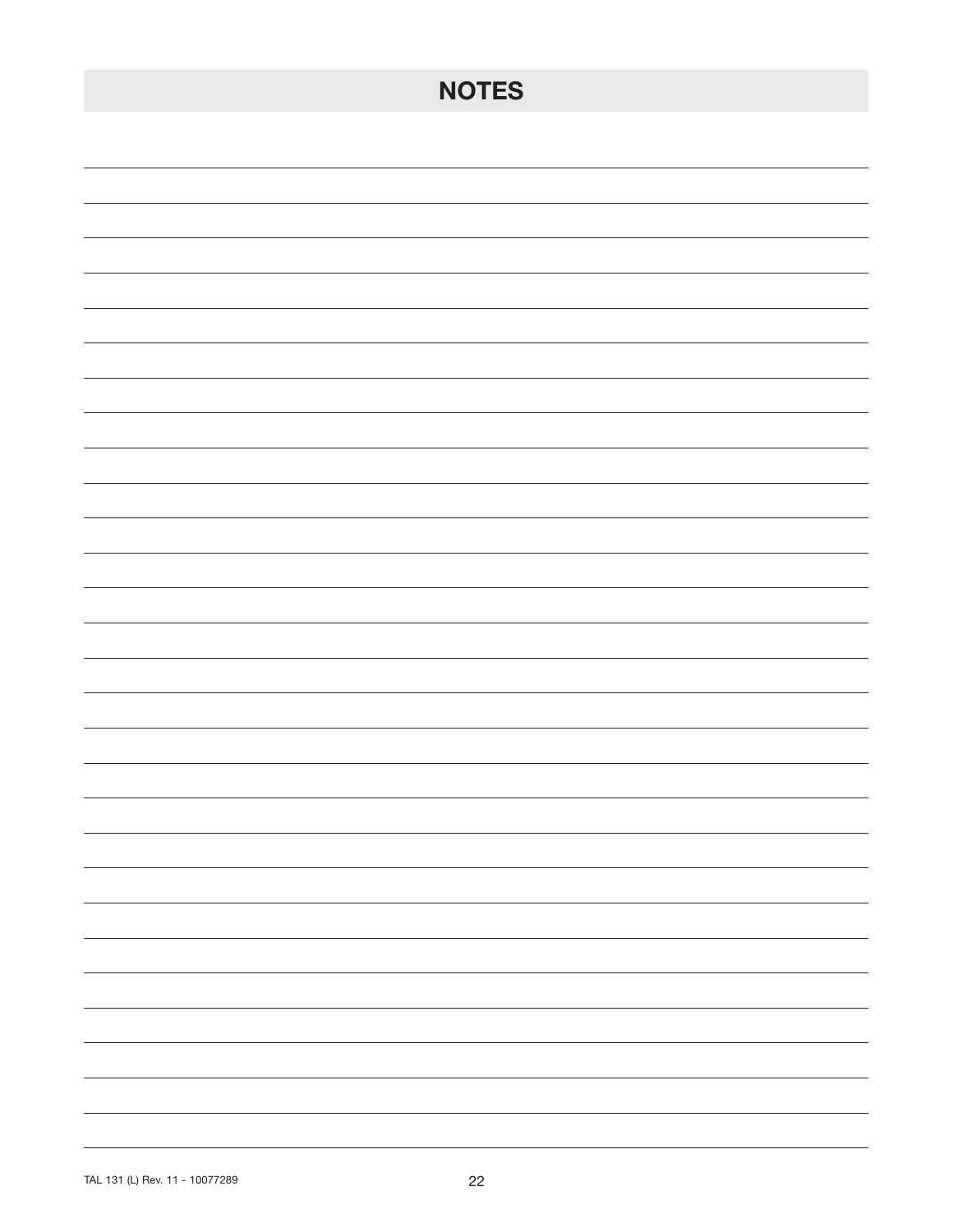| <b>NOTES</b>                                                                                                                                                                                                                                                                                                                                                                                                                                                                                |
|---------------------------------------------------------------------------------------------------------------------------------------------------------------------------------------------------------------------------------------------------------------------------------------------------------------------------------------------------------------------------------------------------------------------------------------------------------------------------------------------|
|                                                                                                                                                                                                                                                                                                                                                                                                                                                                                             |
|                                                                                                                                                                                                                                                                                                                                                                                                                                                                                             |
|                                                                                                                                                                                                                                                                                                                                                                                                                                                                                             |
|                                                                                                                                                                                                                                                                                                                                                                                                                                                                                             |
|                                                                                                                                                                                                                                                                                                                                                                                                                                                                                             |
|                                                                                                                                                                                                                                                                                                                                                                                                                                                                                             |
|                                                                                                                                                                                                                                                                                                                                                                                                                                                                                             |
|                                                                                                                                                                                                                                                                                                                                                                                                                                                                                             |
|                                                                                                                                                                                                                                                                                                                                                                                                                                                                                             |
|                                                                                                                                                                                                                                                                                                                                                                                                                                                                                             |
|                                                                                                                                                                                                                                                                                                                                                                                                                                                                                             |
|                                                                                                                                                                                                                                                                                                                                                                                                                                                                                             |
|                                                                                                                                                                                                                                                                                                                                                                                                                                                                                             |
|                                                                                                                                                                                                                                                                                                                                                                                                                                                                                             |
|                                                                                                                                                                                                                                                                                                                                                                                                                                                                                             |
| $\overline{\phantom{a}}$                                                                                                                                                                                                                                                                                                                                                                                                                                                                    |
| $\overline{\phantom{0}}$                                                                                                                                                                                                                                                                                                                                                                                                                                                                    |
| $\sim$ $\sim$ $\sim$                                                                                                                                                                                                                                                                                                                                                                                                                                                                        |
| $\frac{1}{2} \left( \frac{1}{2} \right) \left( \frac{1}{2} \right) \left( \frac{1}{2} \right) \left( \frac{1}{2} \right) \left( \frac{1}{2} \right) \left( \frac{1}{2} \right) \left( \frac{1}{2} \right) \left( \frac{1}{2} \right) \left( \frac{1}{2} \right) \left( \frac{1}{2} \right) \left( \frac{1}{2} \right) \left( \frac{1}{2} \right) \left( \frac{1}{2} \right) \left( \frac{1}{2} \right) \left( \frac{1}{2} \right) \left( \frac{1}{2} \right) \left( \frac$                  |
| $\overline{\phantom{a}}$                                                                                                                                                                                                                                                                                                                                                                                                                                                                    |
| $\frac{1}{2} \left( \frac{1}{2} \right) \left( \frac{1}{2} \right) \left( \frac{1}{2} \right) \left( \frac{1}{2} \right) \left( \frac{1}{2} \right) \left( \frac{1}{2} \right) \left( \frac{1}{2} \right) \left( \frac{1}{2} \right) \left( \frac{1}{2} \right) \left( \frac{1}{2} \right) \left( \frac{1}{2} \right) \left( \frac{1}{2} \right) \left( \frac{1}{2} \right) \left( \frac{1}{2} \right) \left( \frac{1}{2} \right) \left( \frac{1}{2} \right) \left( \frac$<br>$\sim$ $\sim$ |
|                                                                                                                                                                                                                                                                                                                                                                                                                                                                                             |
|                                                                                                                                                                                                                                                                                                                                                                                                                                                                                             |
|                                                                                                                                                                                                                                                                                                                                                                                                                                                                                             |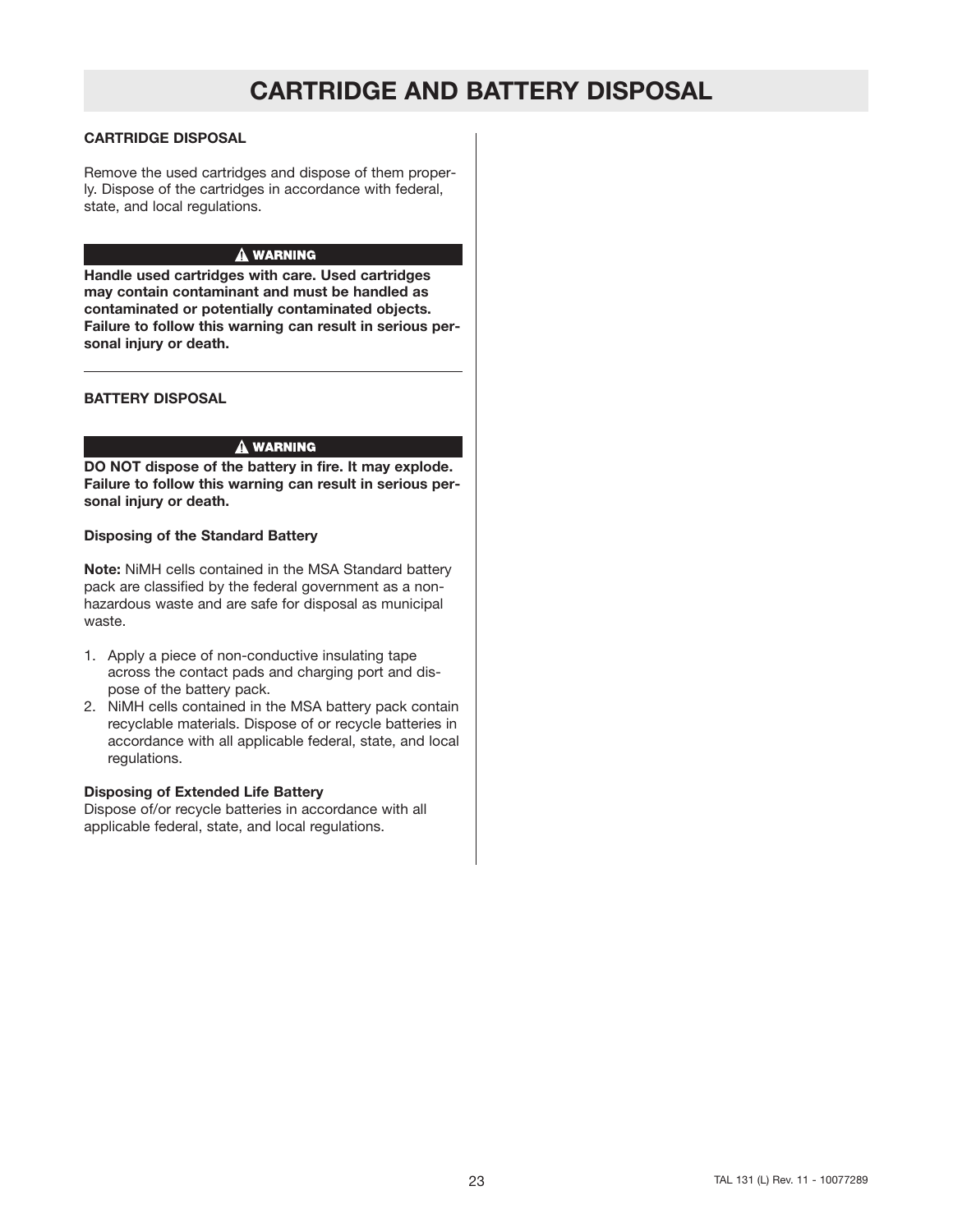## **CARTRIDGE AND BATTERY DISPOSAL**

#### **CARTRIDGE DISPOSAL**

Remove the used cartridges and dispose of them properly. Dispose of the cartridges in accordance with federal, state, and local regulations.

#### A WARNING

**Handle used cartridges with care. Used cartridges may contain contaminant and must be handled as contaminated or potentially contaminated objects. Failure to follow this warning can result in serious personal injury or death.**

#### **BATTERY DISPOSAL**

#### A WARNING

**DO NOT dispose of the battery in fire. It may explode. Failure to follow this warning can result in serious personal injury or death.**

#### **Disposing of the Standard Battery**

**Note:** NiMH cells contained in the MSA Standard battery pack are classified by the federal government as a nonhazardous waste and are safe for disposal as municipal waste.

- 1. Apply a piece of non-conductive insulating tape across the contact pads and charging port and dispose of the battery pack.
- 2. NiMH cells contained in the MSA battery pack contain recyclable materials. Dispose of or recycle batteries in accordance with all applicable federal, state, and local regulations.

#### **Disposing of Extended Life Battery**

Dispose of/or recycle batteries in accordance with all applicable federal, state, and local regulations.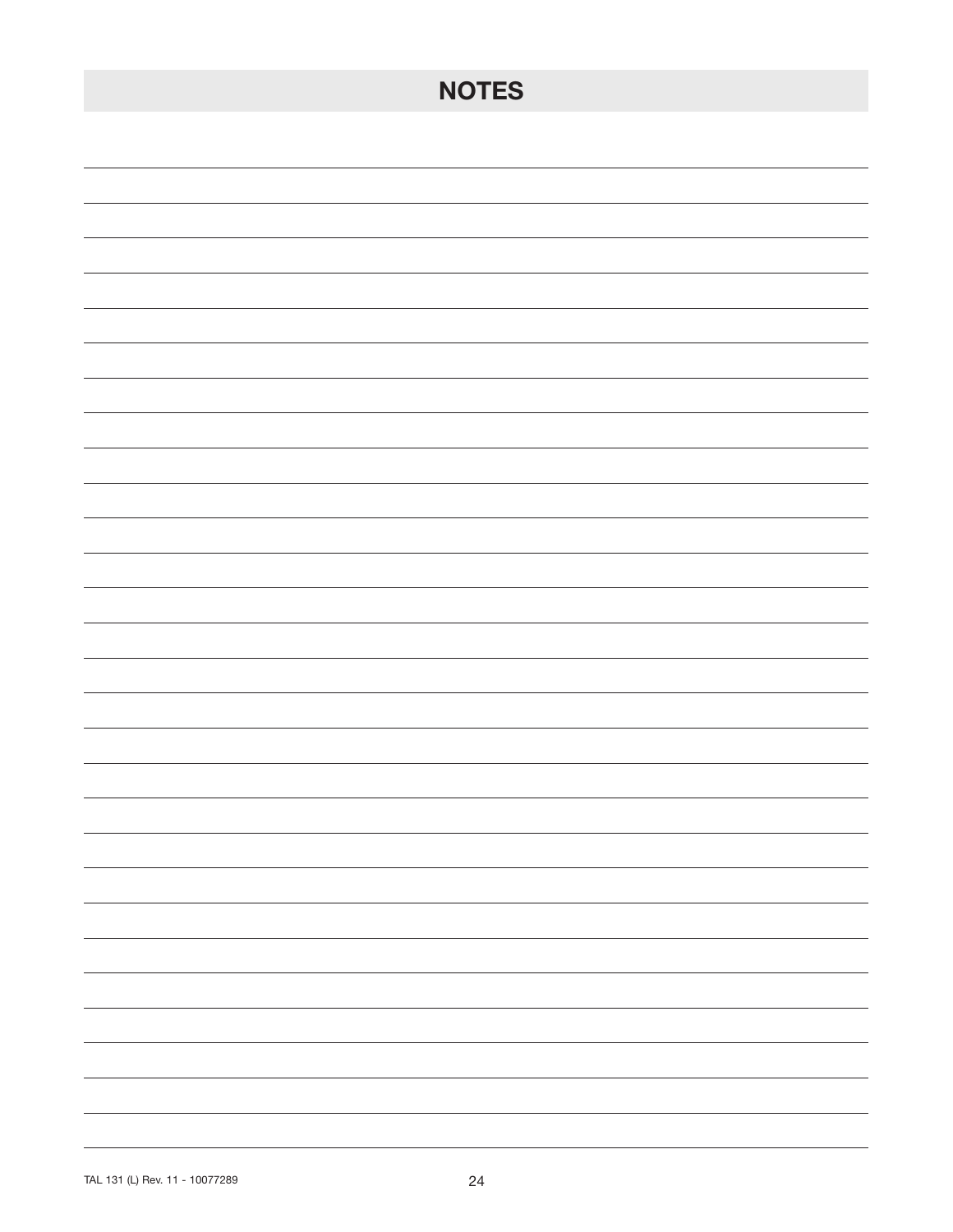| <b>NOTES</b>                                                                                                                                                                                                                                                                                                                                                                                                                                                               |
|----------------------------------------------------------------------------------------------------------------------------------------------------------------------------------------------------------------------------------------------------------------------------------------------------------------------------------------------------------------------------------------------------------------------------------------------------------------------------|
|                                                                                                                                                                                                                                                                                                                                                                                                                                                                            |
|                                                                                                                                                                                                                                                                                                                                                                                                                                                                            |
|                                                                                                                                                                                                                                                                                                                                                                                                                                                                            |
|                                                                                                                                                                                                                                                                                                                                                                                                                                                                            |
|                                                                                                                                                                                                                                                                                                                                                                                                                                                                            |
|                                                                                                                                                                                                                                                                                                                                                                                                                                                                            |
|                                                                                                                                                                                                                                                                                                                                                                                                                                                                            |
|                                                                                                                                                                                                                                                                                                                                                                                                                                                                            |
|                                                                                                                                                                                                                                                                                                                                                                                                                                                                            |
|                                                                                                                                                                                                                                                                                                                                                                                                                                                                            |
|                                                                                                                                                                                                                                                                                                                                                                                                                                                                            |
|                                                                                                                                                                                                                                                                                                                                                                                                                                                                            |
|                                                                                                                                                                                                                                                                                                                                                                                                                                                                            |
|                                                                                                                                                                                                                                                                                                                                                                                                                                                                            |
| $\sim$ $\sim$                                                                                                                                                                                                                                                                                                                                                                                                                                                              |
| $\sim$ $\sim$                                                                                                                                                                                                                                                                                                                                                                                                                                                              |
| $\frac{1}{2} \left( \frac{1}{2} \right) \left( \frac{1}{2} \right) \left( \frac{1}{2} \right) \left( \frac{1}{2} \right) \left( \frac{1}{2} \right) \left( \frac{1}{2} \right) \left( \frac{1}{2} \right) \left( \frac{1}{2} \right) \left( \frac{1}{2} \right) \left( \frac{1}{2} \right) \left( \frac{1}{2} \right) \left( \frac{1}{2} \right) \left( \frac{1}{2} \right) \left( \frac{1}{2} \right) \left( \frac{1}{2} \right) \left( \frac{1}{2} \right) \left( \frac$ |
| $\overline{\phantom{a}}$                                                                                                                                                                                                                                                                                                                                                                                                                                                   |
| $\overline{\phantom{a}}$                                                                                                                                                                                                                                                                                                                                                                                                                                                   |
| $\frac{1}{2} \left( \frac{1}{2} \right) \left( \frac{1}{2} \right) \left( \frac{1}{2} \right) \left( \frac{1}{2} \right) \left( \frac{1}{2} \right) \left( \frac{1}{2} \right) \left( \frac{1}{2} \right) \left( \frac{1}{2} \right) \left( \frac{1}{2} \right) \left( \frac{1}{2} \right) \left( \frac{1}{2} \right) \left( \frac{1}{2} \right) \left( \frac{1}{2} \right) \left( \frac{1}{2} \right) \left( \frac{1}{2} \right) \left( \frac{1}{2} \right) \left( \frac$ |
| $\sim$ $\sim$ $\sim$ $\sim$                                                                                                                                                                                                                                                                                                                                                                                                                                                |
|                                                                                                                                                                                                                                                                                                                                                                                                                                                                            |
| -                                                                                                                                                                                                                                                                                                                                                                                                                                                                          |
| $\overline{\phantom{0}}$                                                                                                                                                                                                                                                                                                                                                                                                                                                   |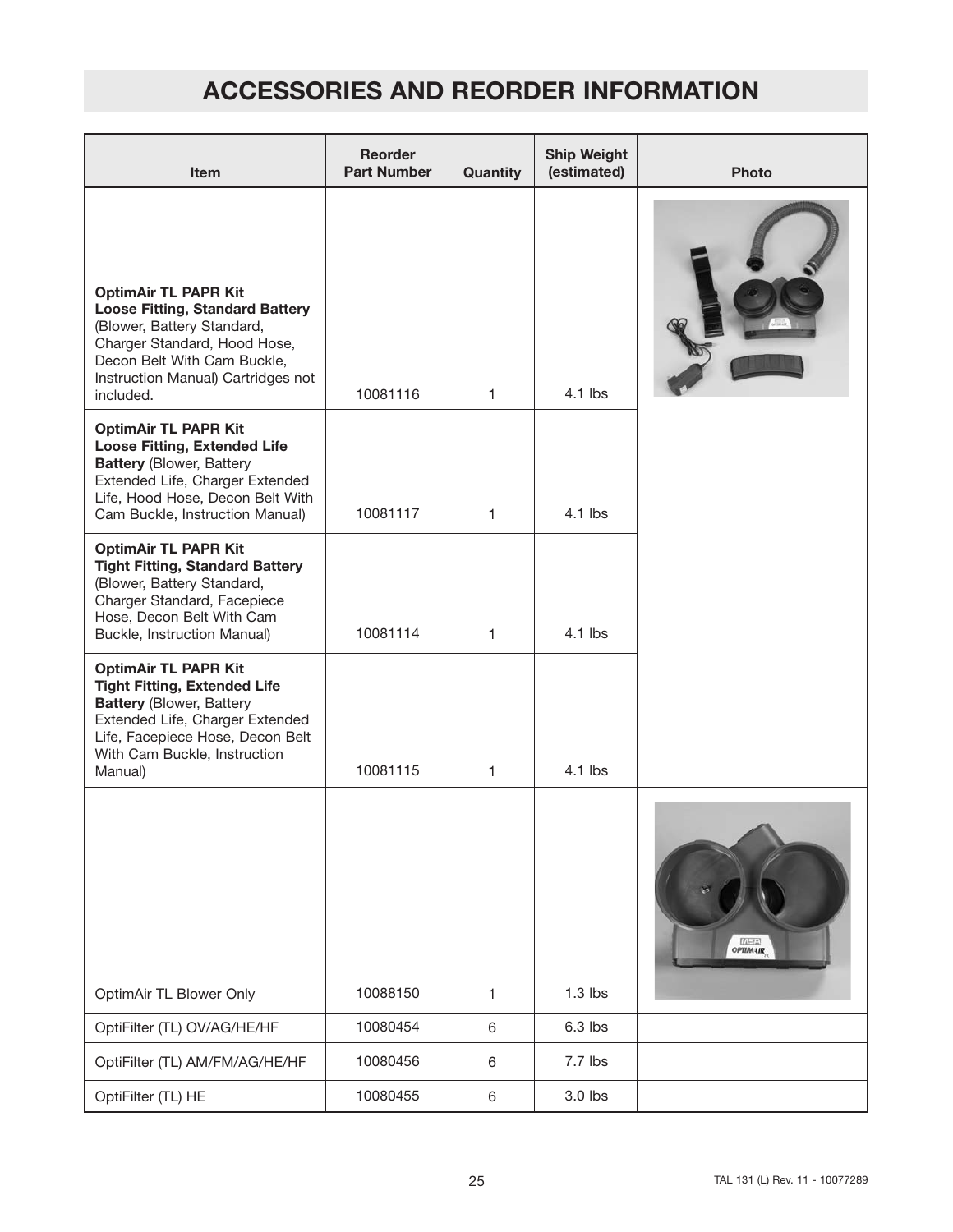| <b>Item</b>                                                                                                                                                                                                             | Reorder<br><b>Part Number</b> | Quantity     | <b>Ship Weight</b><br>(estimated) | <b>Photo</b>     |
|-------------------------------------------------------------------------------------------------------------------------------------------------------------------------------------------------------------------------|-------------------------------|--------------|-----------------------------------|------------------|
| <b>OptimAir TL PAPR Kit</b><br><b>Loose Fitting, Standard Battery</b><br>(Blower, Battery Standard,<br>Charger Standard, Hood Hose,<br>Decon Belt With Cam Buckle,<br>Instruction Manual) Cartridges not<br>included.   | 10081116                      | $\mathbf{1}$ | $4.1$ lbs                         |                  |
| <b>OptimAir TL PAPR Kit</b><br><b>Loose Fitting, Extended Life</b><br><b>Battery (Blower, Battery</b><br>Extended Life, Charger Extended<br>Life, Hood Hose, Decon Belt With<br>Cam Buckle, Instruction Manual)         | 10081117                      | $\mathbf{1}$ | $4.1$ lbs                         |                  |
| <b>OptimAir TL PAPR Kit</b><br><b>Tight Fitting, Standard Battery</b><br>(Blower, Battery Standard,<br>Charger Standard, Facepiece<br>Hose, Decon Belt With Cam<br>Buckle, Instruction Manual)                          | 10081114                      | 1            | $4.1$ lbs                         |                  |
| <b>OptimAir TL PAPR Kit</b><br><b>Tight Fitting, Extended Life</b><br><b>Battery (Blower, Battery</b><br>Extended Life, Charger Extended<br>Life, Facepiece Hose, Decon Belt<br>With Cam Buckle, Instruction<br>Manual) | 10081115                      | $\mathbf{1}$ | 4.1 lbs                           |                  |
| OptimAir TL Blower Only                                                                                                                                                                                                 | 10088150                      | 1            | $1.3$ lbs                         | <b>DETTA AIR</b> |
| OptiFilter (TL) OV/AG/HE/HF                                                                                                                                                                                             | 10080454                      | 6            | 6.3 lbs                           |                  |
| OptiFilter (TL) AM/FM/AG/HE/HF                                                                                                                                                                                          | 10080456                      | 6            | 7.7 lbs                           |                  |
| OptiFilter (TL) HE                                                                                                                                                                                                      | 10080455                      | 6            | 3.0 lbs                           |                  |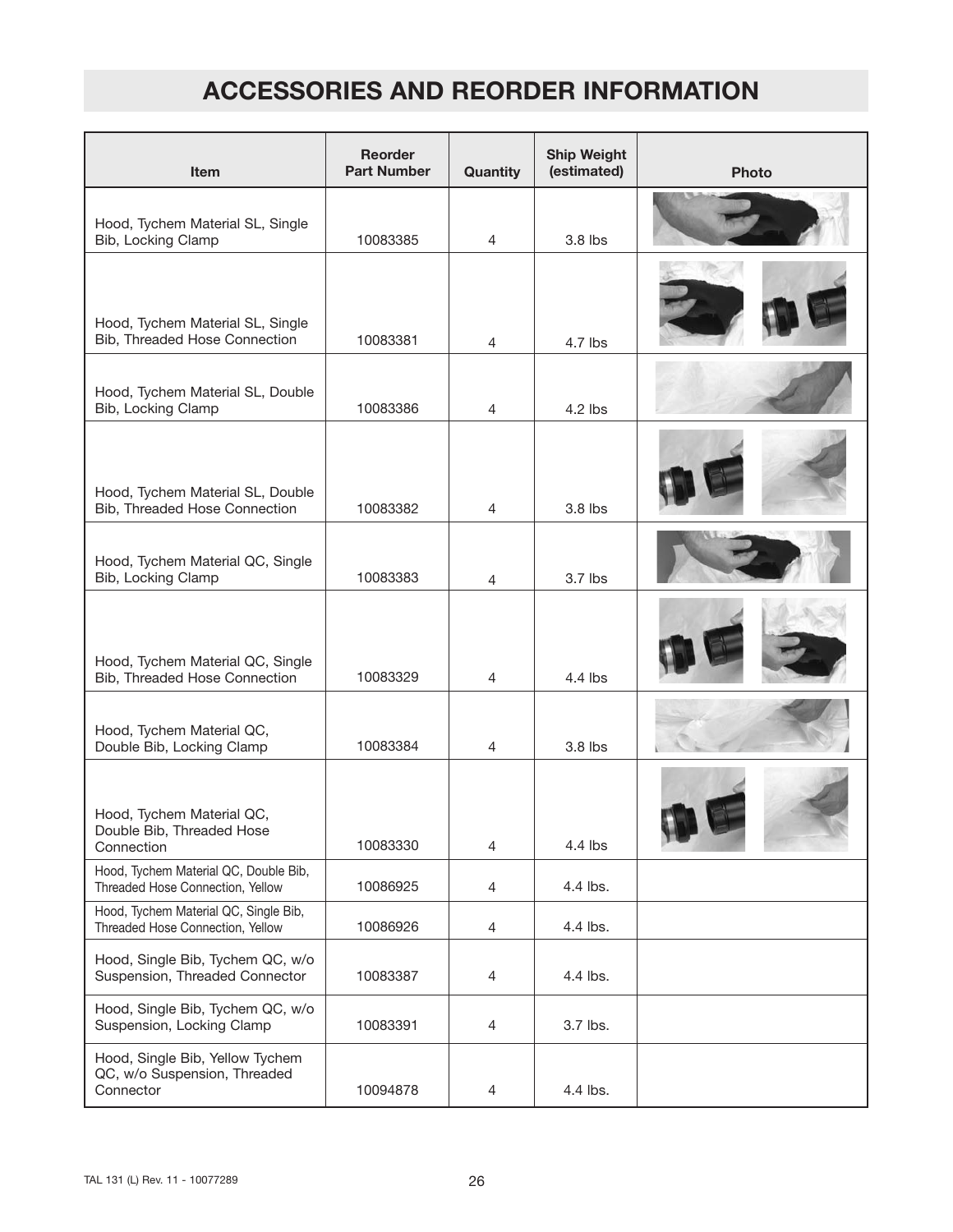| <b>Item</b>                                                                  | <b>Reorder</b><br><b>Part Number</b> | Quantity       | <b>Ship Weight</b><br>(estimated) | <b>Photo</b> |
|------------------------------------------------------------------------------|--------------------------------------|----------------|-----------------------------------|--------------|
| Hood, Tychem Material SL, Single<br>Bib, Locking Clamp                       | 10083385                             | $\overline{4}$ | 3.8 lbs                           |              |
|                                                                              |                                      |                |                                   |              |
| Hood, Tychem Material SL, Single<br>Bib, Threaded Hose Connection            | 10083381                             | $\overline{4}$ | $4.7$ lbs                         |              |
| Hood, Tychem Material SL, Double<br>Bib, Locking Clamp                       | 10083386                             | $\overline{4}$ | $4.2$ lbs                         |              |
|                                                                              |                                      |                |                                   |              |
| Hood, Tychem Material SL, Double<br>Bib, Threaded Hose Connection            | 10083382                             | 4              | 3.8 lbs                           |              |
| Hood, Tychem Material QC, Single<br>Bib, Locking Clamp                       | 10083383                             | 4              | $3.7$ lbs                         |              |
| Hood, Tychem Material QC, Single<br>Bib, Threaded Hose Connection            | 10083329                             | $\overline{4}$ | $4.4$ lbs                         |              |
| Hood, Tychem Material QC,<br>Double Bib, Locking Clamp                       | 10083384                             | 4              | 3.8 lbs                           |              |
| Hood, Tychem Material QC,<br>Double Bib, Threaded Hose<br>Connection         | 10083330                             | $\overline{4}$ | 4.4 lbs                           |              |
| Hood, Tychem Material QC, Double Bib,<br>Threaded Hose Connection, Yellow    | 10086925                             | $\overline{4}$ | 4.4 lbs.                          |              |
| Hood, Tychem Material QC, Single Bib,<br>Threaded Hose Connection, Yellow    | 10086926                             | 4              | 4.4 lbs.                          |              |
| Hood, Single Bib, Tychem QC, w/o<br>Suspension, Threaded Connector           | 10083387                             | 4              | 4.4 lbs.                          |              |
| Hood, Single Bib, Tychem QC, w/o<br>Suspension, Locking Clamp                | 10083391                             | $\overline{4}$ | 3.7 lbs.                          |              |
| Hood, Single Bib, Yellow Tychem<br>QC, w/o Suspension, Threaded<br>Connector | 10094878                             | $\overline{4}$ | 4.4 lbs.                          |              |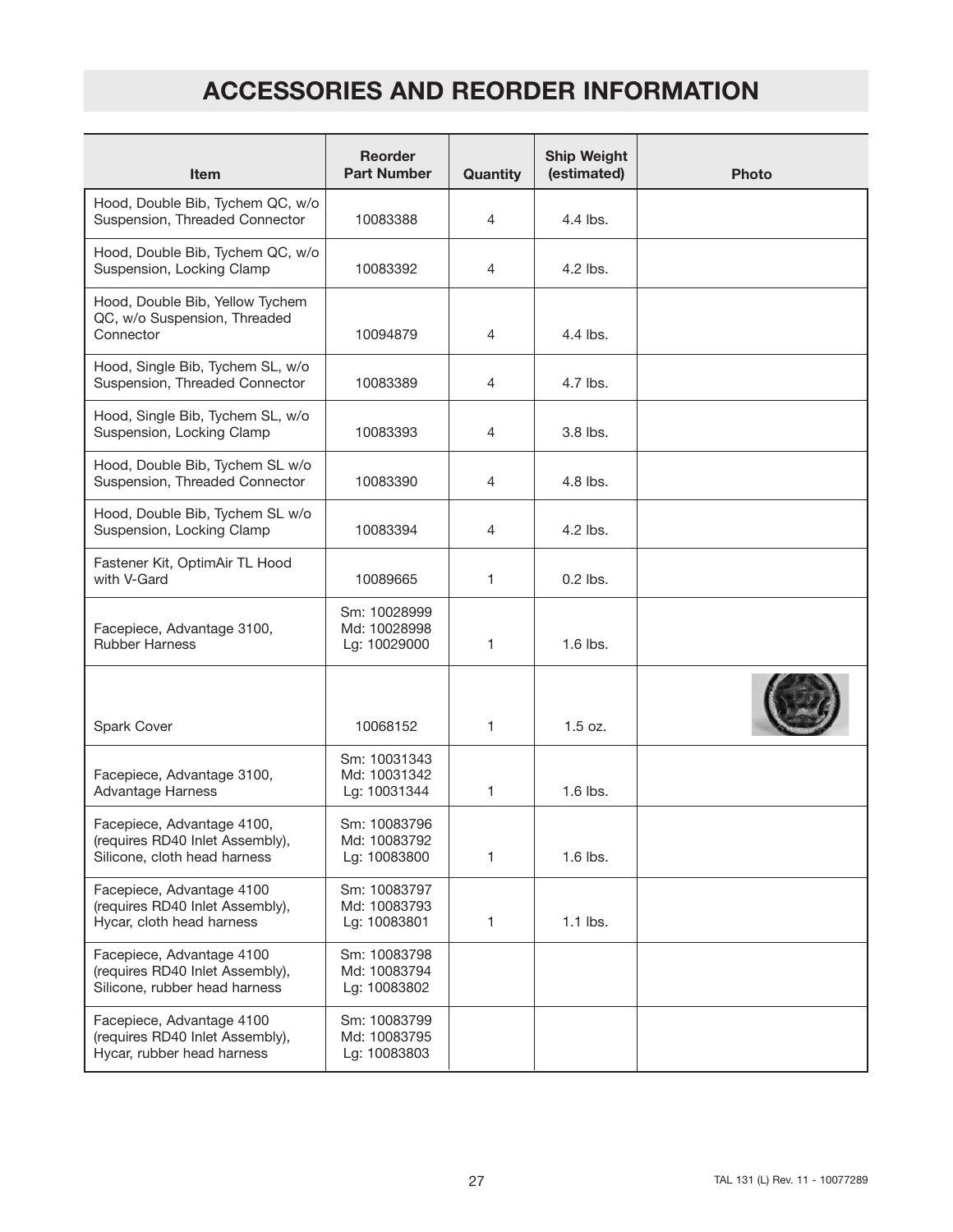| <b>Item</b>                                                                                   | <b>Reorder</b><br><b>Part Number</b>         | Quantity     | <b>Ship Weight</b><br>(estimated) | <b>Photo</b> |
|-----------------------------------------------------------------------------------------------|----------------------------------------------|--------------|-----------------------------------|--------------|
| Hood, Double Bib, Tychem QC, w/o<br>Suspension, Threaded Connector                            | 10083388                                     | 4            | $4.4$ lbs.                        |              |
| Hood, Double Bib, Tychem QC, w/o<br>Suspension, Locking Clamp                                 | 10083392                                     | 4            | $4.2$ lbs.                        |              |
| Hood, Double Bib, Yellow Tychem<br>QC, w/o Suspension, Threaded<br>Connector                  | 10094879                                     | 4            | 4.4 lbs.                          |              |
| Hood, Single Bib, Tychem SL, w/o<br>Suspension, Threaded Connector                            | 10083389                                     | 4            | 4.7 lbs.                          |              |
| Hood, Single Bib, Tychem SL, w/o<br>Suspension, Locking Clamp                                 | 10083393                                     | 4            | $3.8$ lbs.                        |              |
| Hood, Double Bib, Tychem SL w/o<br>Suspension, Threaded Connector                             | 10083390                                     | 4            | $4.8$ lbs.                        |              |
| Hood, Double Bib, Tychem SL w/o<br>Suspension, Locking Clamp                                  | 10083394                                     | 4            | $4.2$ lbs.                        |              |
| Fastener Kit, OptimAir TL Hood<br>with V-Gard                                                 | 10089665                                     | $\mathbf{1}$ | $0.2$ lbs.                        |              |
| Facepiece, Advantage 3100,<br><b>Rubber Harness</b>                                           | Sm: 10028999<br>Md: 10028998<br>Lg: 10029000 | $\mathbf{1}$ | 1.6 lbs.                          |              |
| Spark Cover                                                                                   | 10068152                                     | $\mathbf{1}$ | $1.5$ oz.                         |              |
| Facepiece, Advantage 3100,<br>Advantage Harness                                               | Sm: 10031343<br>Md: 10031342<br>Lg: 10031344 | $\mathbf{1}$ | 1.6 lbs.                          |              |
| Facepiece, Advantage 4100,<br>(requires RD40 Inlet Assembly),<br>Silicone, cloth head harness | Sm: 10083796<br>Md: 10083792<br>Lg: 10083800 | $\mathbf{1}$ | 1.6 lbs.                          |              |
| Facepiece, Advantage 4100<br>(requires RD40 Inlet Assembly),<br>Hycar, cloth head harness     | Sm: 10083797<br>Md: 10083793<br>Lg: 10083801 | $\mathbf{1}$ | $1.1$ lbs.                        |              |
| Facepiece, Advantage 4100<br>(requires RD40 Inlet Assembly),<br>Silicone, rubber head harness | Sm: 10083798<br>Md: 10083794<br>Lg: 10083802 |              |                                   |              |
| Facepiece, Advantage 4100<br>(requires RD40 Inlet Assembly),<br>Hycar, rubber head harness    | Sm: 10083799<br>Md: 10083795<br>Lg: 10083803 |              |                                   |              |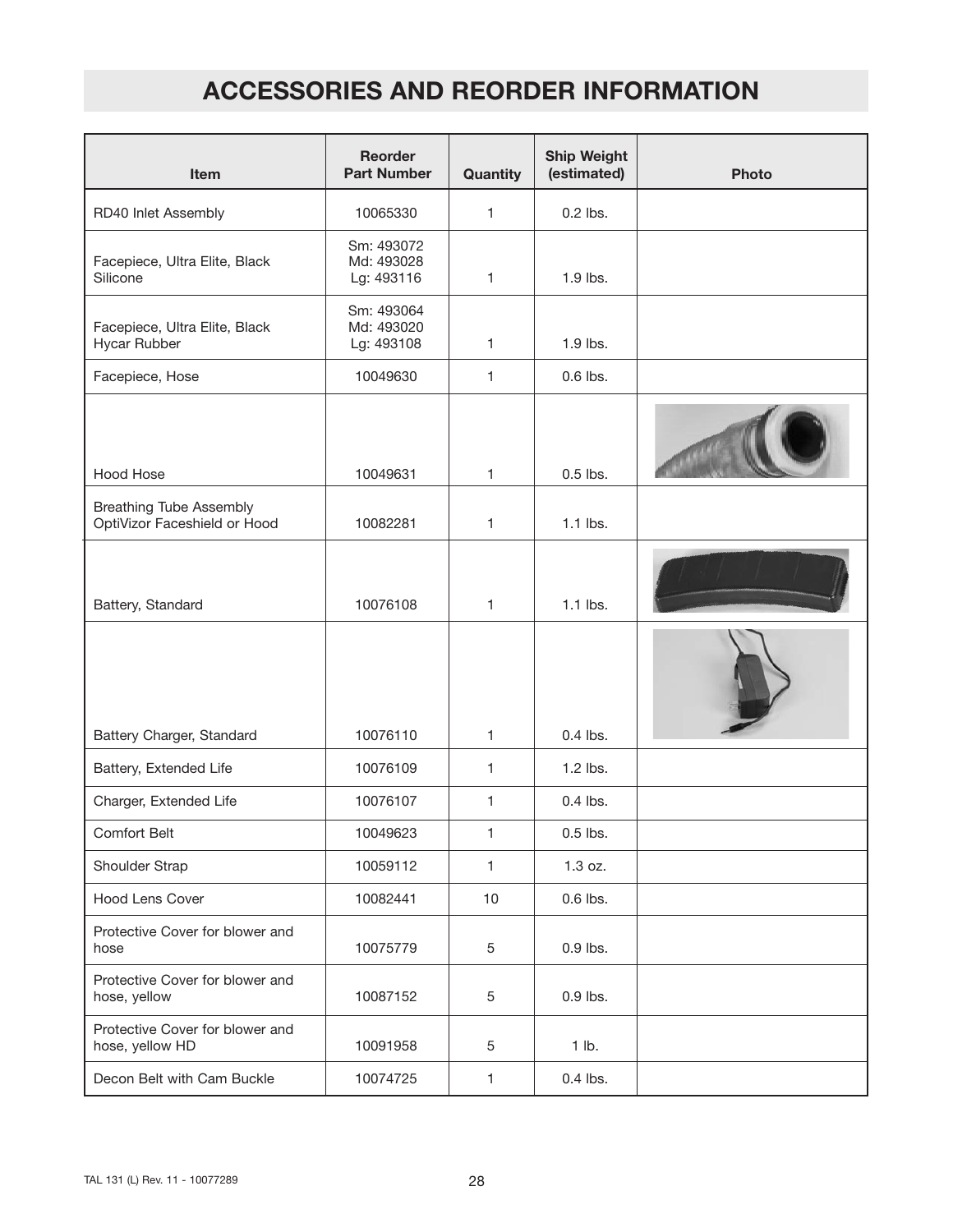| <b>Item</b>                                                    | <b>Reorder</b><br><b>Part Number</b>   | Quantity     | <b>Ship Weight</b><br>(estimated) | <b>Photo</b> |
|----------------------------------------------------------------|----------------------------------------|--------------|-----------------------------------|--------------|
| RD40 Inlet Assembly                                            | 10065330                               | $\mathbf{1}$ | $0.2$ lbs.                        |              |
| Facepiece, Ultra Elite, Black<br>Silicone                      | Sm: 493072<br>Md: 493028<br>Lg: 493116 | $\mathbf{1}$ | 1.9 lbs.                          |              |
| Facepiece, Ultra Elite, Black<br>Hycar Rubber                  | Sm: 493064<br>Md: 493020<br>Lg: 493108 | $\mathbf{1}$ | 1.9 lbs.                          |              |
| Facepiece, Hose                                                | 10049630                               | 1            | $0.6$ lbs.                        |              |
| Hood Hose                                                      | 10049631                               | $\mathbf{1}$ | $0.5$ lbs.                        |              |
| <b>Breathing Tube Assembly</b><br>OptiVizor Faceshield or Hood | 10082281                               | 1            | $1.1$ lbs.                        |              |
| Battery, Standard                                              | 10076108                               | $\mathbf{1}$ | $1.1$ lbs.                        |              |
|                                                                |                                        |              |                                   |              |
| Battery Charger, Standard                                      | 10076110                               | $\mathbf{1}$ | $0.4$ lbs.                        |              |
| Battery, Extended Life                                         | 10076109                               | $\mathbf{1}$ | $1.2$ lbs.                        |              |
| Charger, Extended Life                                         | 10076107                               | 1            | $0.4$ lbs.                        |              |
| Comfort Belt                                                   | 10049623                               | 1            | $0.5$ lbs.                        |              |
| Shoulder Strap                                                 | 10059112                               | $\mathbf{1}$ | 1.3 oz.                           |              |
| <b>Hood Lens Cover</b>                                         | 10082441                               | 10           | $0.6$ lbs.                        |              |
| Protective Cover for blower and<br>hose                        | 10075779                               | 5            | $0.9$ lbs.                        |              |
| Protective Cover for blower and<br>hose, yellow                | 10087152                               | 5            | $0.9$ lbs.                        |              |
| Protective Cover for blower and<br>hose, yellow HD             | 10091958                               | 5            | 1 lb.                             |              |
| Decon Belt with Cam Buckle                                     | 10074725                               | 1            | $0.4$ lbs.                        |              |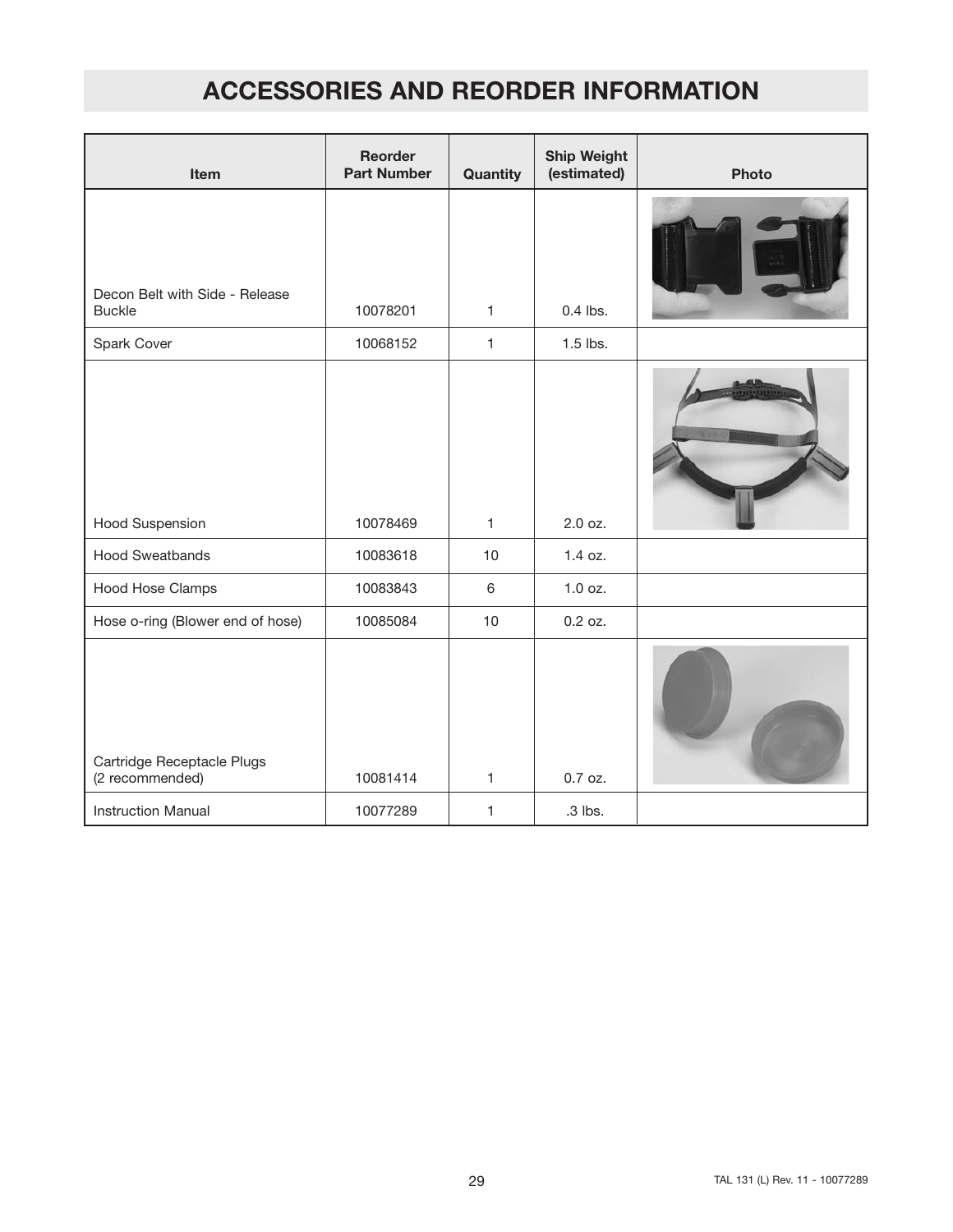| Item                                          | <b>Reorder</b><br><b>Part Number</b> | Quantity       | <b>Ship Weight</b><br>(estimated) | <b>Photo</b> |
|-----------------------------------------------|--------------------------------------|----------------|-----------------------------------|--------------|
| Decon Belt with Side - Release                |                                      |                |                                   |              |
| <b>Buckle</b>                                 | 10078201                             | 1              | $0.4$ lbs.                        |              |
| Spark Cover                                   | 10068152                             | $\mathbf{1}$   | $1.5$ lbs.                        |              |
|                                               |                                      |                |                                   |              |
| <b>Hood Suspension</b>                        | 10078469                             | $\mathbf{1}$   | 2.0 oz.                           |              |
| <b>Hood Sweatbands</b>                        | 10083618                             | 10             | 1.4 oz.                           |              |
| <b>Hood Hose Clamps</b>                       | 10083843                             | $6\phantom{a}$ | $1.0$ oz.                         |              |
| Hose o-ring (Blower end of hose)              | 10085084                             | 10             | $0.2$ oz.                         |              |
| Cartridge Receptacle Plugs<br>(2 recommended) | 10081414                             | $\mathbf{1}$   | 0.7 oz.                           |              |
| <b>Instruction Manual</b>                     | 10077289                             | 1              | .3 lbs.                           |              |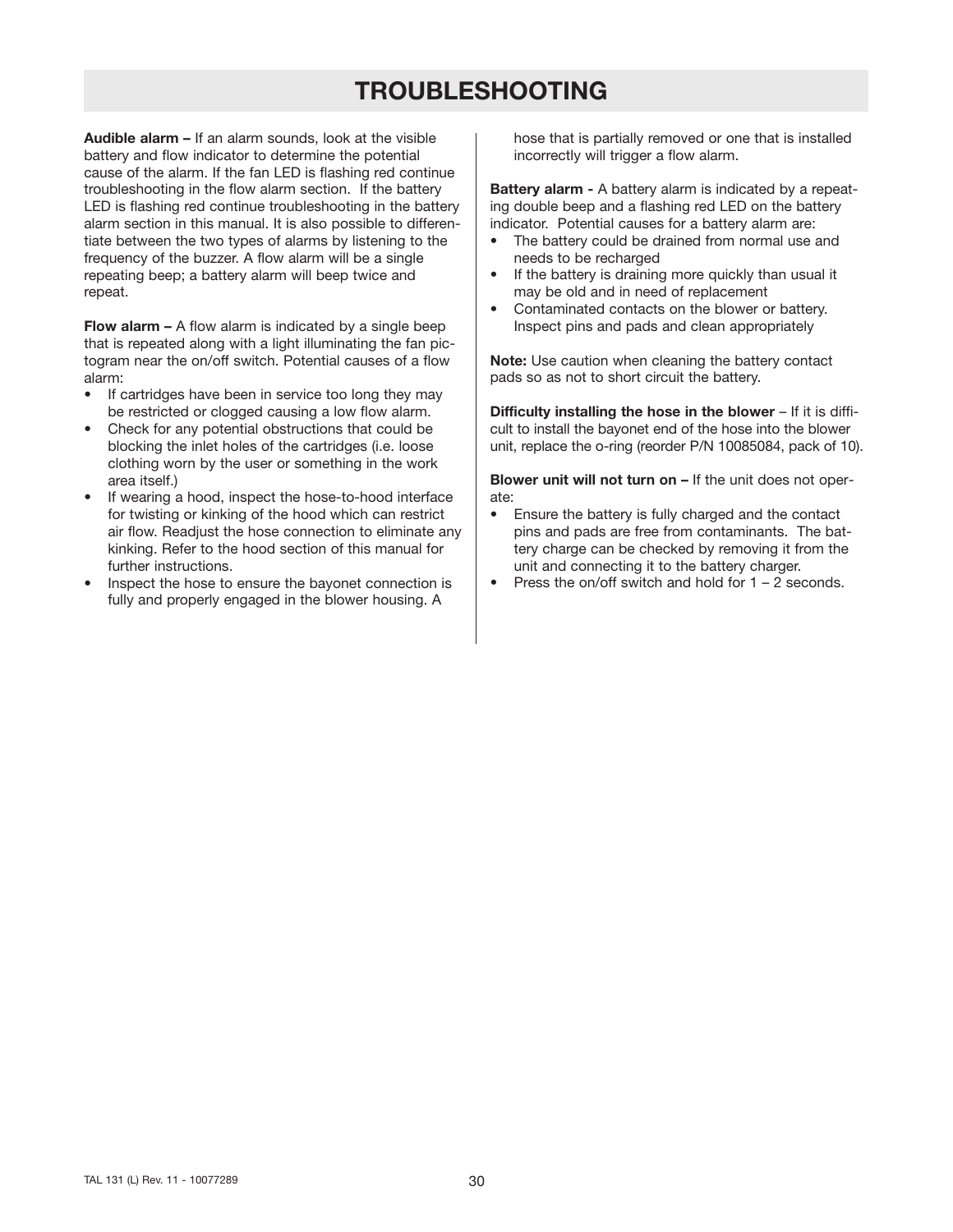## **TROUBLESHOOTING**

**Audible alarm –** If an alarm sounds, look at the visible battery and flow indicator to determine the potential cause of the alarm. If the fan LED is flashing red continue troubleshooting in the flow alarm section. If the battery LED is flashing red continue troubleshooting in the battery alarm section in this manual. It is also possible to differentiate between the two types of alarms by listening to the frequency of the buzzer. A flow alarm will be a single repeating beep; a battery alarm will beep twice and repeat.

**Flow alarm –** A flow alarm is indicated by a single beep that is repeated along with a light illuminating the fan pictogram near the on/off switch. Potential causes of a flow alarm:

- If cartridges have been in service too long they may be restricted or clogged causing a low flow alarm.
- Check for any potential obstructions that could be blocking the inlet holes of the cartridges (i.e. loose clothing worn by the user or something in the work area itself.)
- If wearing a hood, inspect the hose-to-hood interface for twisting or kinking of the hood which can restrict air flow. Readjust the hose connection to eliminate any kinking. Refer to the hood section of this manual for further instructions.
- Inspect the hose to ensure the bayonet connection is fully and properly engaged in the blower housing. A

hose that is partially removed or one that is installed incorrectly will trigger a flow alarm.

**Battery alarm -** A battery alarm is indicated by a repeating double beep and a flashing red LED on the battery indicator. Potential causes for a battery alarm are:

- The battery could be drained from normal use and needs to be recharged
- If the battery is draining more quickly than usual it may be old and in need of replacement
- Contaminated contacts on the blower or battery. Inspect pins and pads and clean appropriately

**Note:** Use caution when cleaning the battery contact pads so as not to short circuit the battery.

**Difficulty installing the hose in the blower** – If it is difficult to install the bayonet end of the hose into the blower unit, replace the o-ring (reorder P/N 10085084, pack of 10).

**Blower unit will not turn on –** If the unit does not operate:

- Ensure the battery is fully charged and the contact pins and pads are free from contaminants. The battery charge can be checked by removing it from the unit and connecting it to the battery charger.
- Press the on/off switch and hold for  $1 2$  seconds.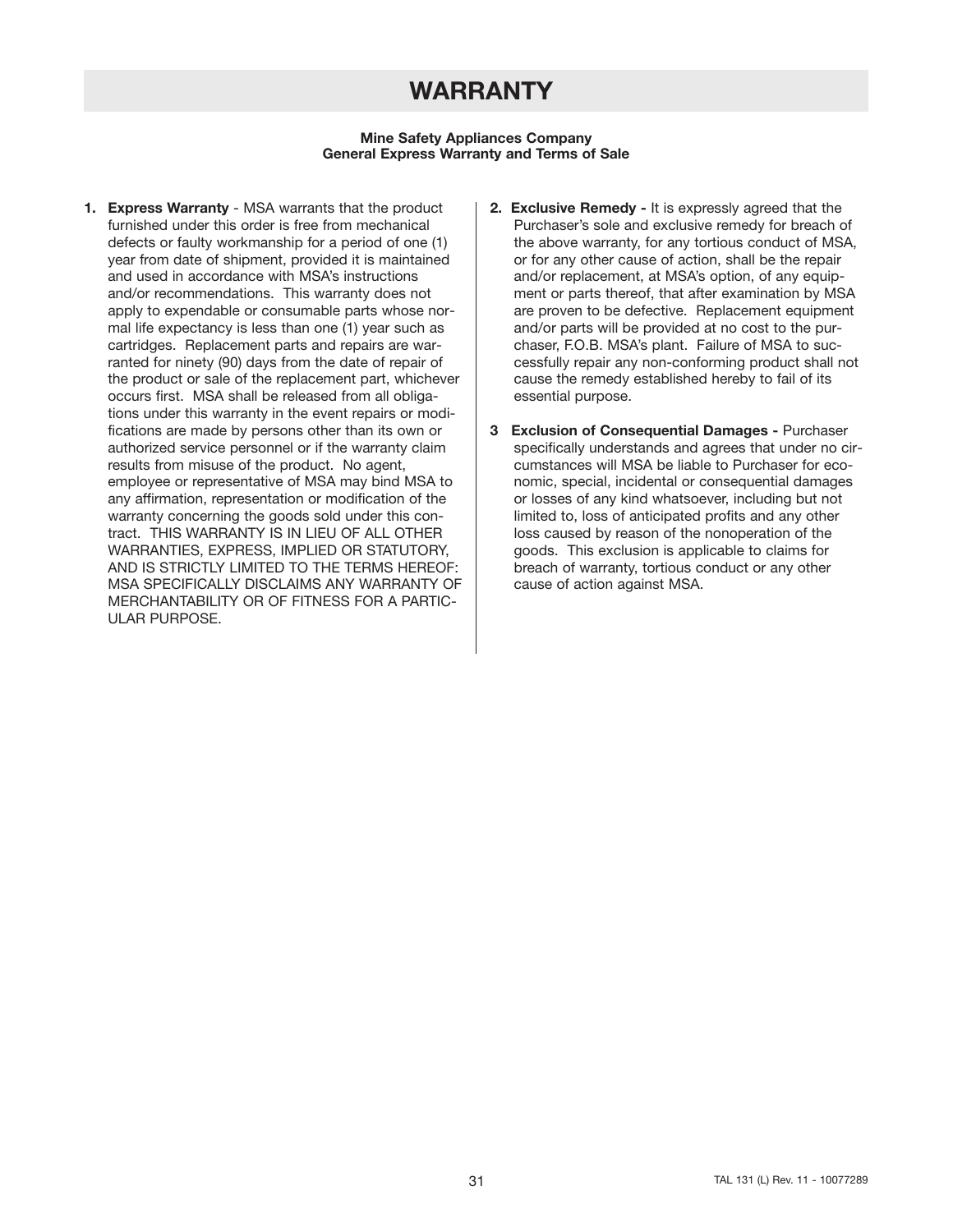## **WARRANTY**

#### **Mine Safety Appliances Company General Express Warranty and Terms of Sale**

- **1. Express Warranty** MSA warrants that the product furnished under this order is free from mechanical defects or faulty workmanship for a period of one (1) year from date of shipment, provided it is maintained and used in accordance with MSA's instructions and/or recommendations. This warranty does not apply to expendable or consumable parts whose normal life expectancy is less than one (1) year such as cartridges. Replacement parts and repairs are warranted for ninety (90) days from the date of repair of the product or sale of the replacement part, whichever occurs first. MSA shall be released from all obligations under this warranty in the event repairs or modifications are made by persons other than its own or authorized service personnel or if the warranty claim results from misuse of the product. No agent, employee or representative of MSA may bind MSA to any affirmation, representation or modification of the warranty concerning the goods sold under this contract. THIS WARRANTY IS IN LIEU OF ALL OTHER WARRANTIES, EXPRESS, IMPLIED OR STATUTORY, AND IS STRICTLY LIMITED TO THE TERMS HEREOF: MSA SPECIFICALLY DISCLAIMS ANY WARRANTY OF MERCHANTABILITY OR OF FITNESS FOR A PARTIC-ULAR PURPOSE.
- **2. Exclusive Remedy -** It is expressly agreed that the Purchaser's sole and exclusive remedy for breach of the above warranty, for any tortious conduct of MSA, or for any other cause of action, shall be the repair and/or replacement, at MSA's option, of any equipment or parts thereof, that after examination by MSA are proven to be defective. Replacement equipment and/or parts will be provided at no cost to the purchaser, F.O.B. MSA's plant. Failure of MSA to successfully repair any non-conforming product shall not cause the remedy established hereby to fail of its essential purpose.
- **3 Exclusion of Consequential Damages -** Purchaser specifically understands and agrees that under no circumstances will MSA be liable to Purchaser for economic, special, incidental or consequential damages or losses of any kind whatsoever, including but not limited to, loss of anticipated profits and any other loss caused by reason of the nonoperation of the goods. This exclusion is applicable to claims for breach of warranty, tortious conduct or any other cause of action against MSA.